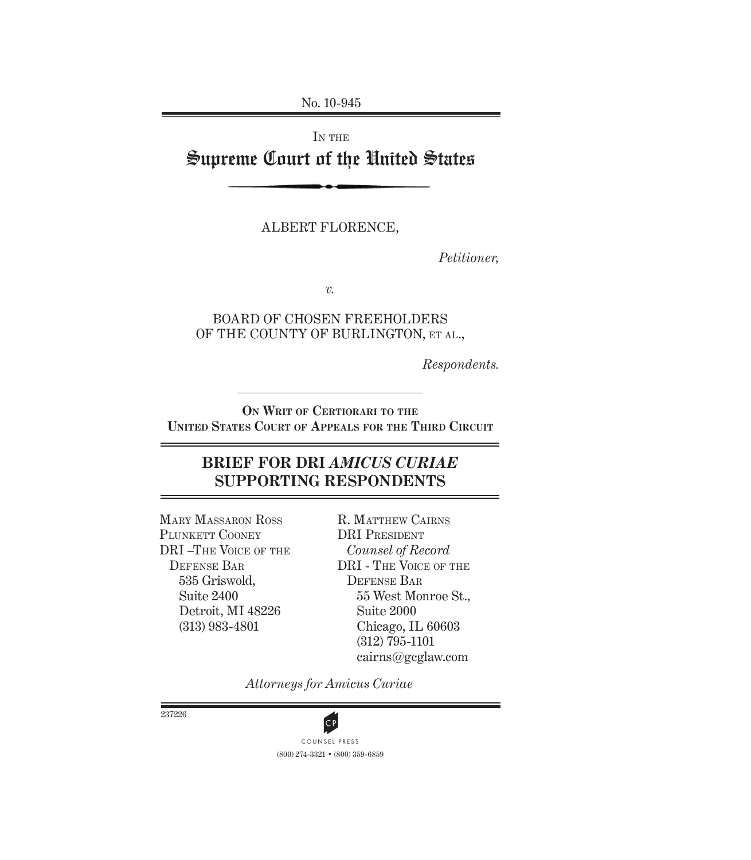No. 10-945

# IN THE Supreme Court of the United States

ALBERT FLORENCE,

*Petitioner,*

*v.*

BOARD OF CHOSEN FREEHOLDERS OF THE COUNTY OF BURLINGTON, ET AL.,

*Respondents.*

**ON WRIT OF CERTIORARI TO THE UNITED STATES COURT OF APPEALS FOR THE THIRD CIRCUIT**

# **BRIEF FOR DRI** *AMICUS CURIAE*  **SUPPORTING RESPONDENTS**

MARY MASSARON ROSS PLUNKETT COONEY DRI –THE VOICE OF THE DEFENSE BAR 535 Griswold, Suite 2400 Detroit, MI 48226 (313) 983-4801

R. MATTHEW CAIRNS DRI PRESIDENT *Counsel of Record* DRI - THE VOICE OF THE DEFENSE BAR 55 West Monroe St., Suite 2000 Chicago, IL 60603 (312) 795-1101 cairns@gcglaw.com

*Attorneys for Amicus Curiae*



237226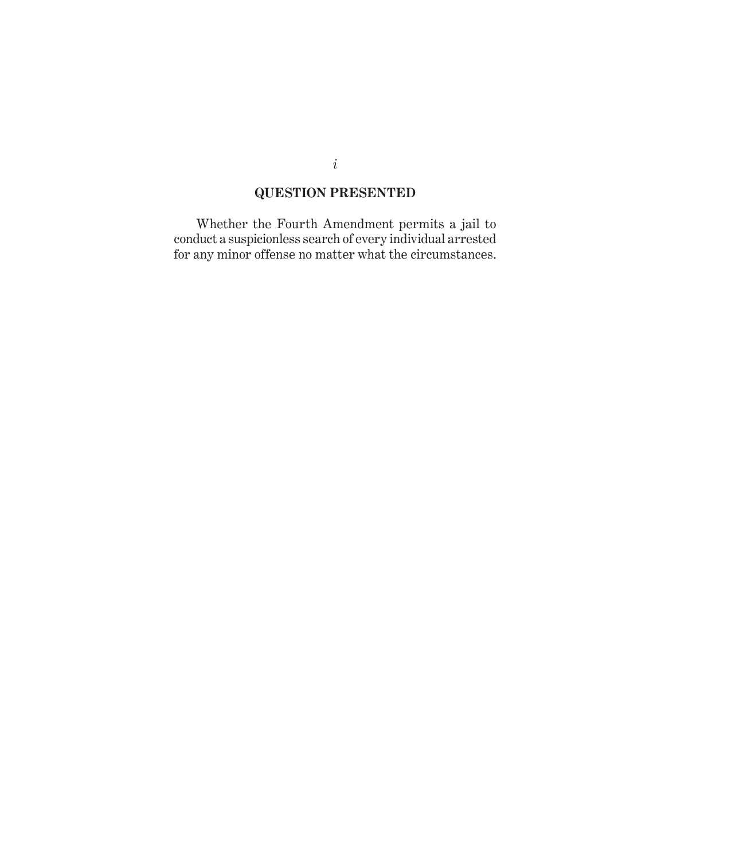# **QUESTION PRESENTED**

Whether the Fourth Amendment permits a jail to conduct a suspicionless search of every individual arrested for any minor offense no matter what the circumstances.

*i*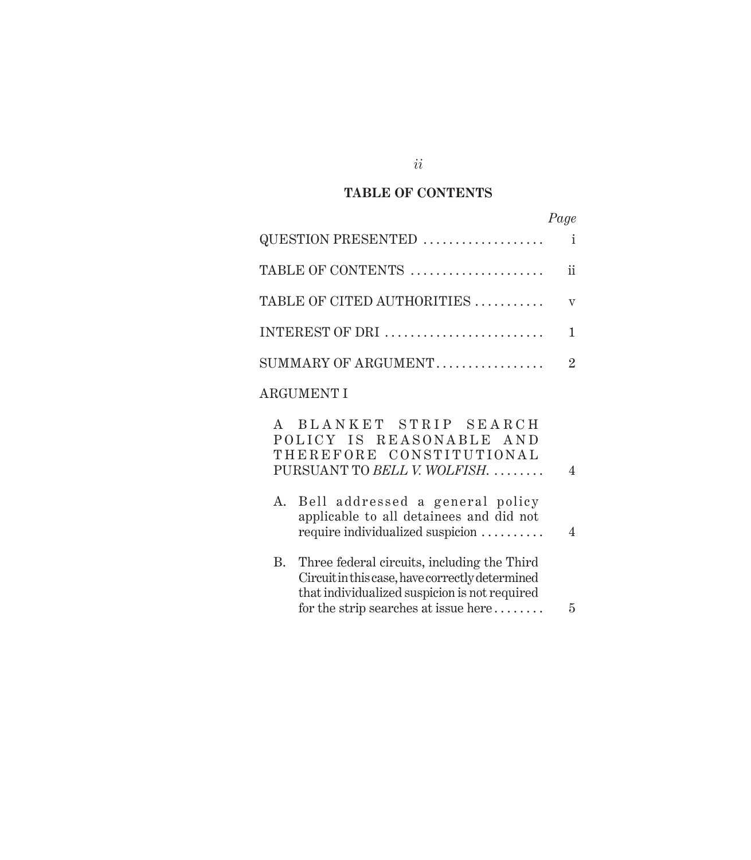## **TABLE OF CONTENTS**

| QUESTION PRESENTED             | i              |
|--------------------------------|----------------|
| TABLE OF CONTENTS              | ij             |
| TABLE OF CITED AUTHORITIES     | $\overline{V}$ |
| INTEREST OF DRI                |                |
| $SUMMARY$ OF ARGUMENT $\ldots$ | 2              |
| <b>ARGUMENT I</b>              |                |

| A BLANKET STRIP SEARCH<br>POLICY IS REASONABLE AND<br>THEREFORE CONSTITUTIONAL<br>PURSUANT TO BELL V. WOLFISH.                                                                             | 4 |
|--------------------------------------------------------------------------------------------------------------------------------------------------------------------------------------------|---|
| A. Bell addressed a general policy<br>applicable to all detainees and did not<br>require individualized suspicion                                                                          | 4 |
| B. Three federal circuits, including the Third<br>Circuit in this case, have correctly determined<br>that individualized suspicion is not required<br>for the strip searches at issue here | 5 |

*ii*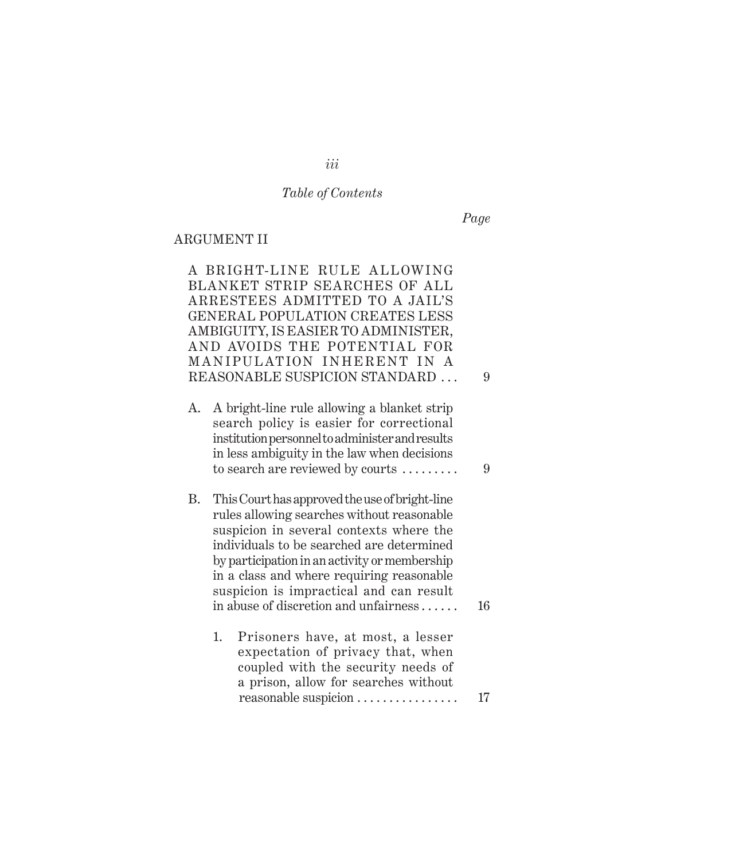# *Table of Contents*

*Page*

## ARGUMENT II

|    | A BRIGHT-LINE RULE ALLOWING                        |    |  |  |  |  |
|----|----------------------------------------------------|----|--|--|--|--|
|    | BLANKET STRIP SEARCHES OF ALL                      |    |  |  |  |  |
|    | ARRESTEES ADMITTED TO A JAIL'S                     |    |  |  |  |  |
|    | GENERAL POPULATION CREATES LESS                    |    |  |  |  |  |
|    | AMBIGUITY, IS EASIER TO ADMINISTER,                |    |  |  |  |  |
|    | AND AVOIDS THE POTENTIAL FOR                       |    |  |  |  |  |
|    | MANIPULATION INHERENT IN A                         |    |  |  |  |  |
|    | REASONABLE SUSPICION STANDARD                      | 9  |  |  |  |  |
|    |                                                    |    |  |  |  |  |
| А. | A bright-line rule allowing a blanket strip        |    |  |  |  |  |
|    | search policy is easier for correctional           |    |  |  |  |  |
|    | institution personnel to administer and results    |    |  |  |  |  |
|    | in less ambiguity in the law when decisions        |    |  |  |  |  |
|    | to search are reviewed by courts $\dots\dots\dots$ | 9  |  |  |  |  |
|    |                                                    |    |  |  |  |  |
| B. | This Court has approved the use of bright-line     |    |  |  |  |  |
|    | rules allowing searches without reasonable         |    |  |  |  |  |
|    | suspicion in several contexts where the            |    |  |  |  |  |
|    | individuals to be searched are determined          |    |  |  |  |  |
|    |                                                    |    |  |  |  |  |
|    | by participation in an activity or membership      |    |  |  |  |  |
|    | in a class and where requiring reasonable          |    |  |  |  |  |
|    | suspicion is impractical and can result            |    |  |  |  |  |
|    | in abuse of discretion and unfairness              | 16 |  |  |  |  |
|    |                                                    |    |  |  |  |  |
|    | Prisoners have, at most, a lesser<br>1.            |    |  |  |  |  |
|    | expectation of privacy that, when                  |    |  |  |  |  |
|    | coupled with the security needs of                 |    |  |  |  |  |
|    | a prison, allow for searches without               |    |  |  |  |  |
|    | reasonable suspicion                               | 17 |  |  |  |  |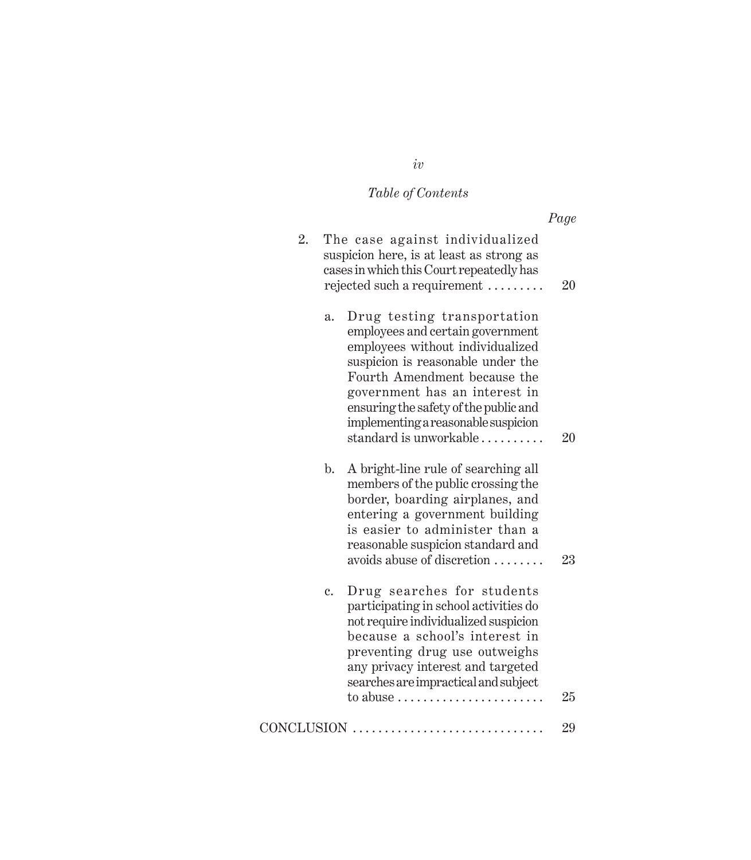# *Table of Contents*

|    |                                                                                                                                                                                                                                                                                                                                       | Page |
|----|---------------------------------------------------------------------------------------------------------------------------------------------------------------------------------------------------------------------------------------------------------------------------------------------------------------------------------------|------|
| 2. | The case against individualized<br>suspicion here, is at least as strong as<br>cases in which this Court repeatedly has<br>rejected such a requirement                                                                                                                                                                                | 20   |
|    | Drug testing transportation<br>$\mathbf{a}$ .<br>employees and certain government<br>employees without individualized<br>suspicion is reasonable under the<br>Fourth Amendment because the<br>government has an interest in<br>ensuring the safety of the public and<br>implementing a reasonable suspicion<br>standard is unworkable | 20   |
|    | A bright-line rule of searching all<br>$\mathbf{b}$ .<br>members of the public crossing the<br>border, boarding airplanes, and<br>entering a government building<br>is easier to administer than a<br>reasonable suspicion standard and<br>avoids abuse of discretion                                                                 | 23   |
|    | Drug searches for students<br>c.<br>participating in school activities do<br>not require individualized suspicion<br>because a school's interest in<br>preventing drug use outweighs<br>any privacy interest and targeted<br>searches are impractical and subject<br>to abuse $\dots\dots\dots\dots\dots\dots\dots\dots\dots$         | 25   |
|    | CONCLUSION                                                                                                                                                                                                                                                                                                                            | 29   |

*iv*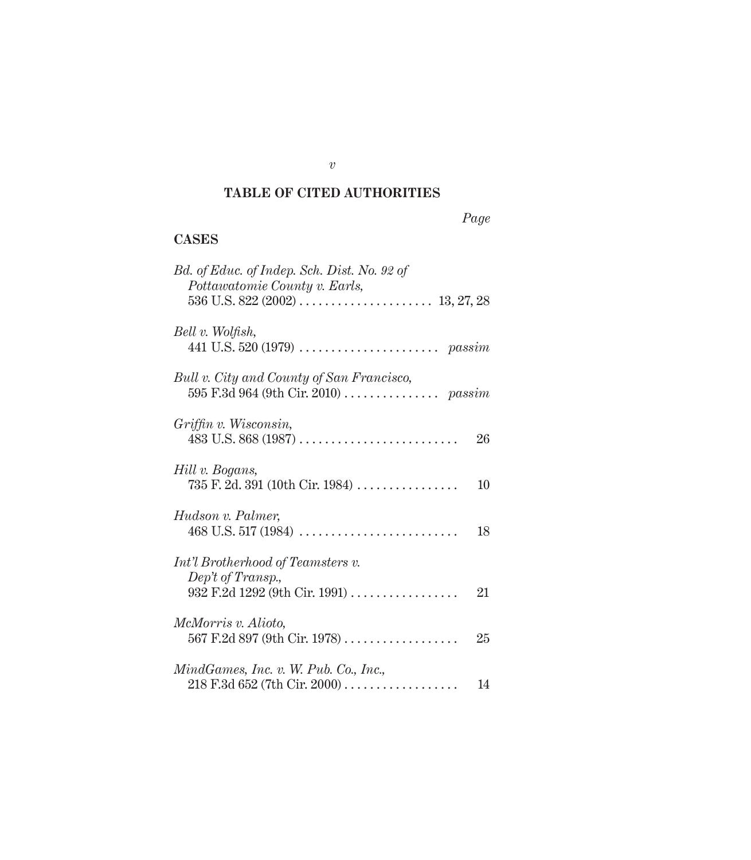### **TABLE OF CITED AUTHORITIES**

### **CASES**

| Bd. of Educ. of Indep. Sch. Dist. No. 92 of<br>Pottawatomie County v. Earls,                  |
|-----------------------------------------------------------------------------------------------|
| Bell v. Wolfish,                                                                              |
| Bull v. City and County of San Francisco,                                                     |
| Griffin v. Wisconsin,<br>26                                                                   |
| Hill v. Bogans,<br>$735$ F. 2d. 391 (10th Cir. 1984)<br>10                                    |
| Hudson v. Palmer,<br>18                                                                       |
| Int'l Brotherhood of Teamsters v.<br>Dep't of Transp.,<br>932 F.2d 1292 (9th Cir. 1991)<br>21 |
| <i>McMorris v. Alioto,</i><br>567 F.2d 897 (9th Cir. 1978)<br>25                              |
| MindGames, Inc. v. W. Pub. Co., Inc.,<br>14                                                   |

*v*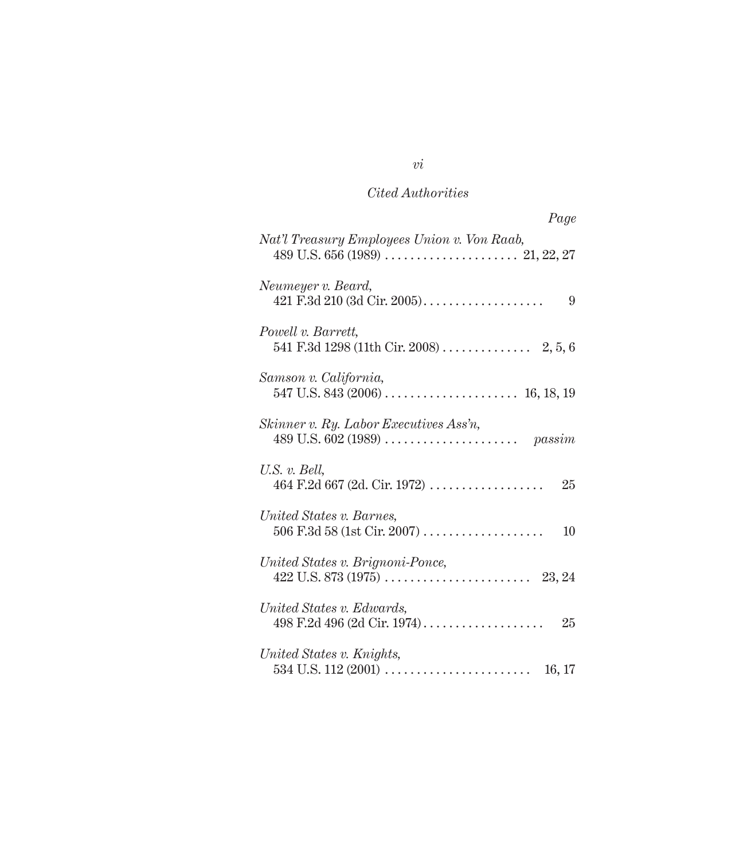## *Cited Authorities*

| Page                                                   |
|--------------------------------------------------------|
| Nat'l Treasury Employees Union v. Von Raab,            |
| Neumeyer v. Beard,<br>421 F.3d 210 (3d Cir. 2005)<br>9 |
| Powell v. Barrett,                                     |
| Samson v. California,                                  |
| Skinner v. Ry. Labor Executives Ass'n,                 |
| U.S. v. Bell,<br>$464$ F.2d 667 (2d. Cir. 1972)<br>25  |
| United States v. Barnes,<br>10                         |
| United States v. Brignoni-Ponce,                       |
| United States v. Edwards,<br>25                        |
| United States v. Knights,<br>16, 17                    |

# *vi*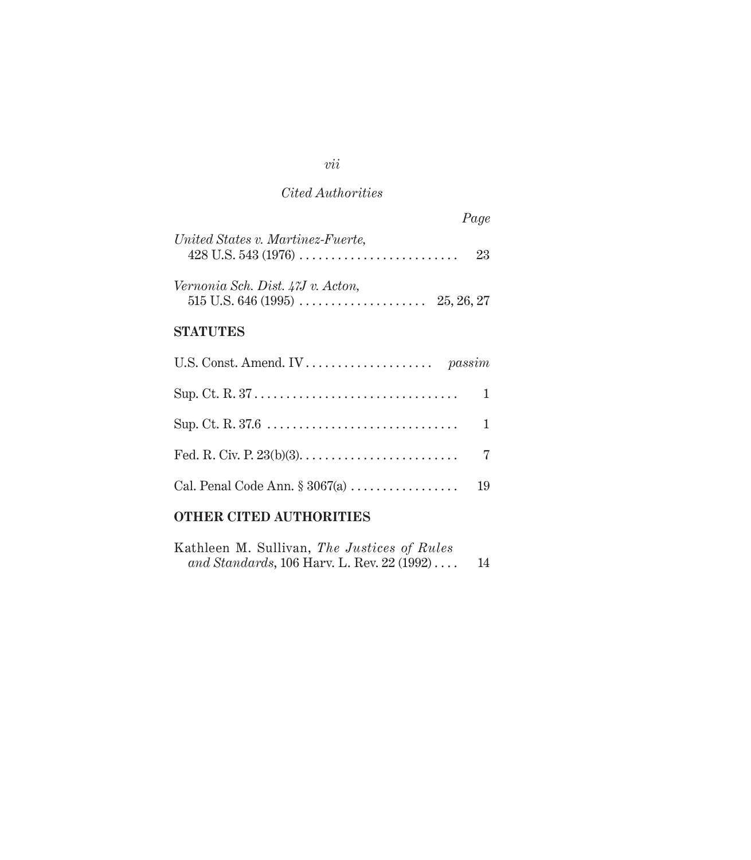### *Cited Authorities*

| Page                                                                     |
|--------------------------------------------------------------------------|
| United States v. Martinez-Fuerte,<br>23                                  |
| Vernonia Sch. Dist. 47J v. Acton,<br>$515$ U.S. 646 (1995)<br>25, 26, 27 |
| STATUTES                                                                 |
|                                                                          |
| 1                                                                        |
| 1                                                                        |
| 7                                                                        |
| Cal. Penal Code Ann. $\S 3067(a)$<br>19                                  |

# **OTHER CITED AUTHORITIES**

| Kathleen M. Sullivan, The Justices of Rules |                                            |  |  |    |
|---------------------------------------------|--------------------------------------------|--|--|----|
|                                             | and Standards, 106 Harv. L. Rev. 22 (1992) |  |  | 14 |

*vii*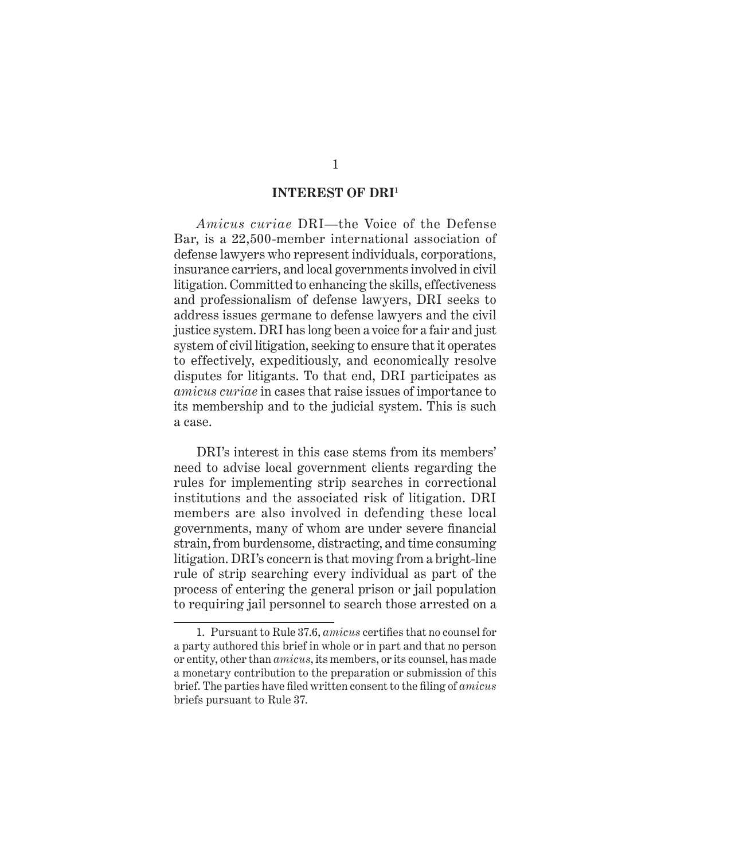### **INTEREST OF DRI**<sup>1</sup>

*Amicus curiae* DRI—the Voice of the Defense Bar, is a 22,500-member international association of defense lawyers who represent individuals, corporations, insurance carriers, and local governments involved in civil litigation. Committed to enhancing the skills, effectiveness and professionalism of defense lawyers, DRI seeks to address issues germane to defense lawyers and the civil justice system. DRI has long been a voice for a fair and just system of civil litigation, seeking to ensure that it operates to effectively, expeditiously, and economically resolve disputes for litigants. To that end, DRI participates as *amicus curiae* in cases that raise issues of importance to its membership and to the judicial system. This is such a case.

DRI's interest in this case stems from its members' need to advise local government clients regarding the rules for implementing strip searches in correctional institutions and the associated risk of litigation. DRI members are also involved in defending these local governments, many of whom are under severe financial strain, from burdensome, distracting, and time consuming litigation. DRI's concern is that moving from a bright-line rule of strip searching every individual as part of the process of entering the general prison or jail population to requiring jail personnel to search those arrested on a

<sup>1.</sup> Pursuant to Rule 37.6, *amicus* certifies that no counsel for a party authored this brief in whole or in part and that no person or entity, other than *amicus*, its members, or its counsel, has made a monetary contribution to the preparation or submission of this brief. The parties have filed written consent to the filing of *amicus* briefs pursuant to Rule 37.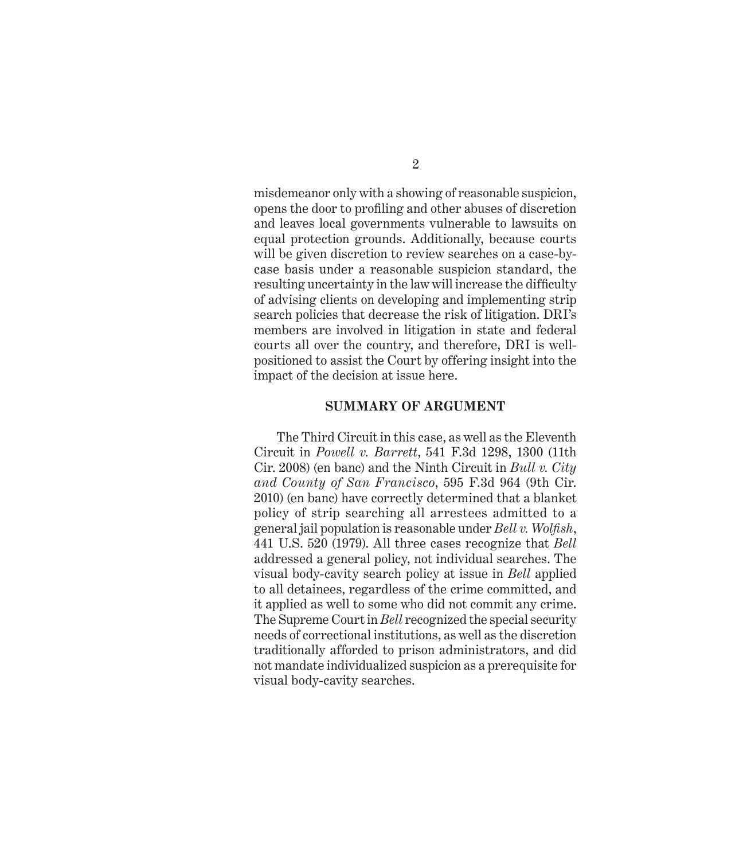misdemeanor only with a showing of reasonable suspicion, opens the door to profiling and other abuses of discretion and leaves local governments vulnerable to lawsuits on equal protection grounds. Additionally, because courts will be given discretion to review searches on a case-bycase basis under a reasonable suspicion standard, the resulting uncertainty in the law will increase the difficulty of advising clients on developing and implementing strip search policies that decrease the risk of litigation. DRI's members are involved in litigation in state and federal courts all over the country, and therefore, DRI is wellpositioned to assist the Court by offering insight into the impact of the decision at issue here.

#### **SUMMARY OF ARGUMENT**

The Third Circuit in this case, as well as the Eleventh Circuit in *Powell v. Barrett*, 541 F.3d 1298, 1300 (11th Cir. 2008) (en banc) and the Ninth Circuit in *Bull v. City and County of San Francisco*, 595 F.3d 964 (9th Cir. 2010) (en banc) have correctly determined that a blanket policy of strip searching all arrestees admitted to a general jail population is reasonable under *Bell v. Wolfish*, 441 U.S. 520 (1979). All three cases recognize that *Bell* addressed a general policy, not individual searches. The visual body-cavity search policy at issue in *Bell* applied to all detainees, regardless of the crime committed, and it applied as well to some who did not commit any crime. The Supreme Court in *Bell* recognized the special security needs of correctional institutions, as well as the discretion traditionally afforded to prison administrators, and did not mandate individualized suspicion as a prerequisite for visual body-cavity searches.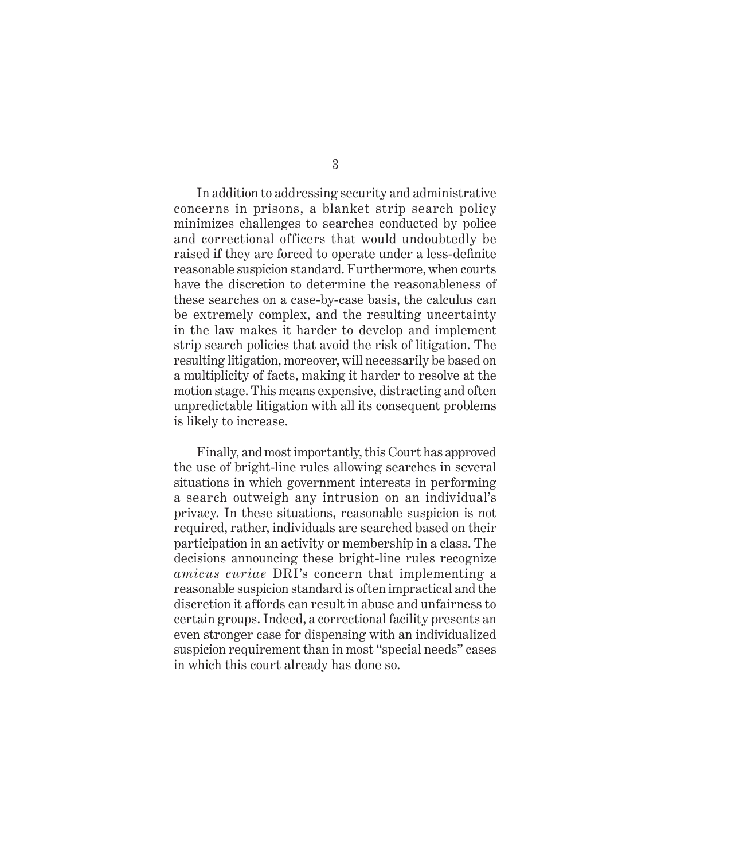In addition to addressing security and administrative concerns in prisons, a blanket strip search policy minimizes challenges to searches conducted by police and correctional officers that would undoubtedly be raised if they are forced to operate under a less-definite reasonable suspicion standard. Furthermore, when courts have the discretion to determine the reasonableness of these searches on a case-by-case basis, the calculus can be extremely complex, and the resulting uncertainty in the law makes it harder to develop and implement strip search policies that avoid the risk of litigation. The resulting litigation, moreover, will necessarily be based on a multiplicity of facts, making it harder to resolve at the motion stage. This means expensive, distracting and often unpredictable litigation with all its consequent problems is likely to increase.

Finally, and most importantly, this Court has approved the use of bright-line rules allowing searches in several situations in which government interests in performing a search outweigh any intrusion on an individual's privacy. In these situations, reasonable suspicion is not required, rather, individuals are searched based on their participation in an activity or membership in a class. The decisions announcing these bright-line rules recognize *amicus curiae* DRI's concern that implementing a reasonable suspicion standard is often impractical and the discretion it affords can result in abuse and unfairness to certain groups. Indeed, a correctional facility presents an even stronger case for dispensing with an individualized suspicion requirement than in most "special needs" cases in which this court already has done so.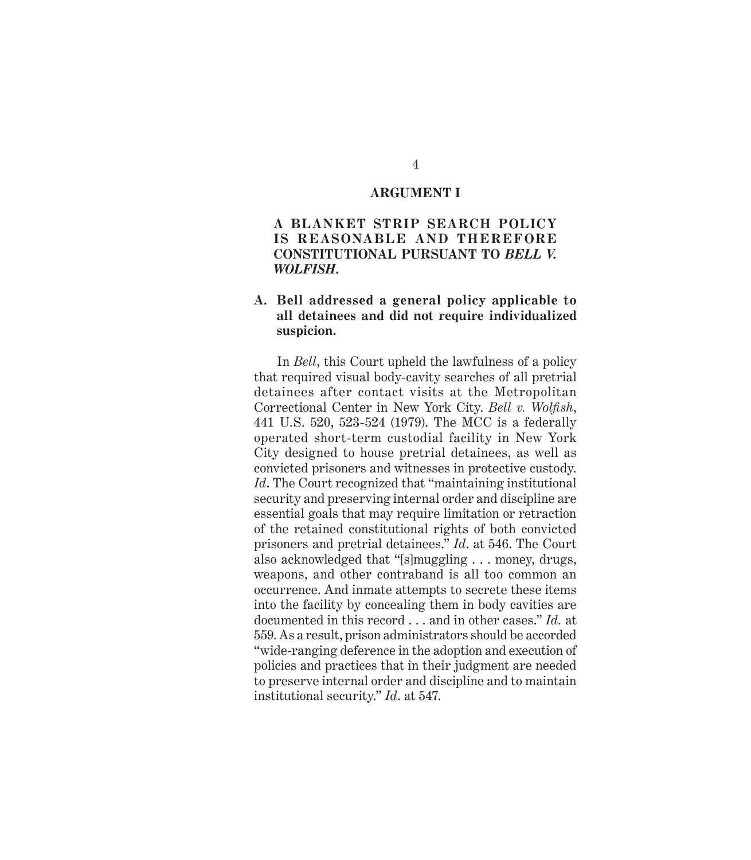#### **ARGUMENT I**

### **A BLANKET STRIP SEARCH POLICY IS REASONABLE AND THEREFORE CONSTITUTIONAL PURSUANT TO** *BELL V. WOLFISH***.**

### **A. Bell addressed a general policy applicable to all detainees and did not require individualized suspicion.**

In *Bell*, this Court upheld the lawfulness of a policy that required visual body-cavity searches of all pretrial detainees after contact visits at the Metropolitan Correctional Center in New York City. *Bell v. Wolfish*, 441 U.S. 520, 523-524 (1979). The MCC is a federally operated short-term custodial facility in New York City designed to house pretrial detainees, as well as convicted prisoners and witnesses in protective custody. *Id*. The Court recognized that "maintaining institutional security and preserving internal order and discipline are essential goals that may require limitation or retraction of the retained constitutional rights of both convicted prisoners and pretrial detainees." *Id*. at 546. The Court also acknowledged that "[s]muggling . . . money, drugs, weapons, and other contraband is all too common an occurrence. And inmate attempts to secrete these items into the facility by concealing them in body cavities are documented in this record . . . and in other cases." *Id.* at 559. As a result, prison administrators should be accorded "wide-ranging deference in the adoption and execution of policies and practices that in their judgment are needed to preserve internal order and discipline and to maintain institutional security." *Id*. at 547.

### 4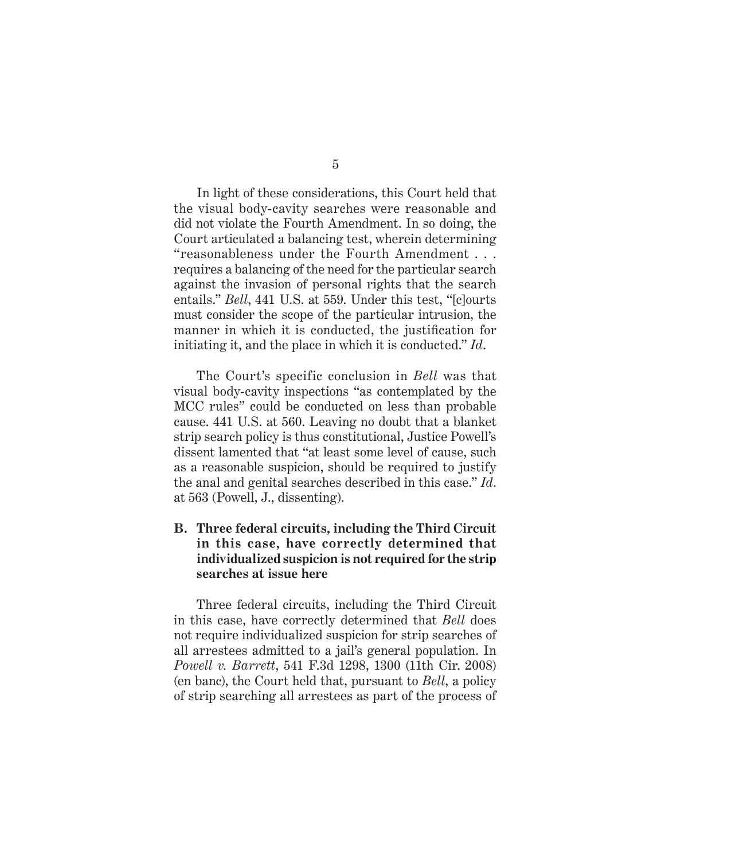5

In light of these considerations, this Court held that the visual body-cavity searches were reasonable and did not violate the Fourth Amendment. In so doing, the Court articulated a balancing test, wherein determining "reasonableness under the Fourth Amendment . . . requires a balancing of the need for the particular search against the invasion of personal rights that the search entails." *Bell*, 441 U.S. at 559. Under this test, "[c]ourts must consider the scope of the particular intrusion, the manner in which it is conducted, the justification for initiating it, and the place in which it is conducted." *Id*.

The Court's specific conclusion in *Bell* was that visual body-cavity inspections "as contemplated by the MCC rules" could be conducted on less than probable cause. 441 U.S. at 560. Leaving no doubt that a blanket strip search policy is thus constitutional, Justice Powell's dissent lamented that "at least some level of cause, such as a reasonable suspicion, should be required to justify the anal and genital searches described in this case." *Id*. at 563 (Powell, J., dissenting).

### **B. Three federal circuits, including the Third Circuit in this case, have correctly determined that individualized suspicion is not required for the strip searches at issue here**

Three federal circuits, including the Third Circuit in this case, have correctly determined that *Bell* does not require individualized suspicion for strip searches of all arrestees admitted to a jail's general population. In *Powell v. Barrett*, 541 F.3d 1298, 1300 (11th Cir. 2008) (en banc), the Court held that, pursuant to *Bell*, a policy of strip searching all arrestees as part of the process of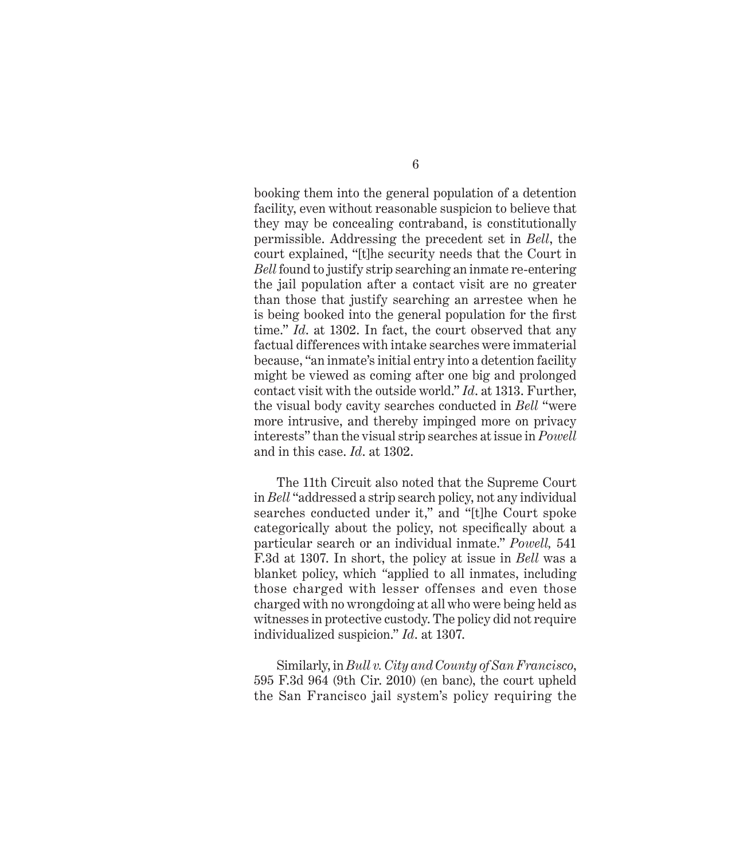booking them into the general population of a detention facility, even without reasonable suspicion to believe that they may be concealing contraband, is constitutionally permissible. Addressing the precedent set in *Bell*, the court explained, "[t]he security needs that the Court in *Bell* found to justify strip searching an inmate re-entering the jail population after a contact visit are no greater than those that justify searching an arrestee when he is being booked into the general population for the first time." *Id*. at 1302. In fact, the court observed that any factual differences with intake searches were immaterial because, "an inmate's initial entry into a detention facility might be viewed as coming after one big and prolonged contact visit with the outside world." *Id*. at 1313. Further, the visual body cavity searches conducted in *Bell* "were more intrusive, and thereby impinged more on privacy interests" than the visual strip searches at issue in *Powell*  and in this case. *Id*. at 1302.

The 11th Circuit also noted that the Supreme Court in *Bell* "addressed a strip search policy, not any individual searches conducted under it," and "[t]he Court spoke categorically about the policy, not specifically about a particular search or an individual inmate." *Powell,* 541 F.3d at 1307. In short, the policy at issue in *Bell* was a blanket policy, which *"*applied to all inmates, including those charged with lesser offenses and even those charged with no wrongdoing at all who were being held as witnesses in protective custody. The policy did not require individualized suspicion." *Id*. at 1307.

Similarly, in *Bull v. City and County of San Francisco*, 595 F.3d 964 (9th Cir. 2010) (en banc), the court upheld the San Francisco jail system's policy requiring the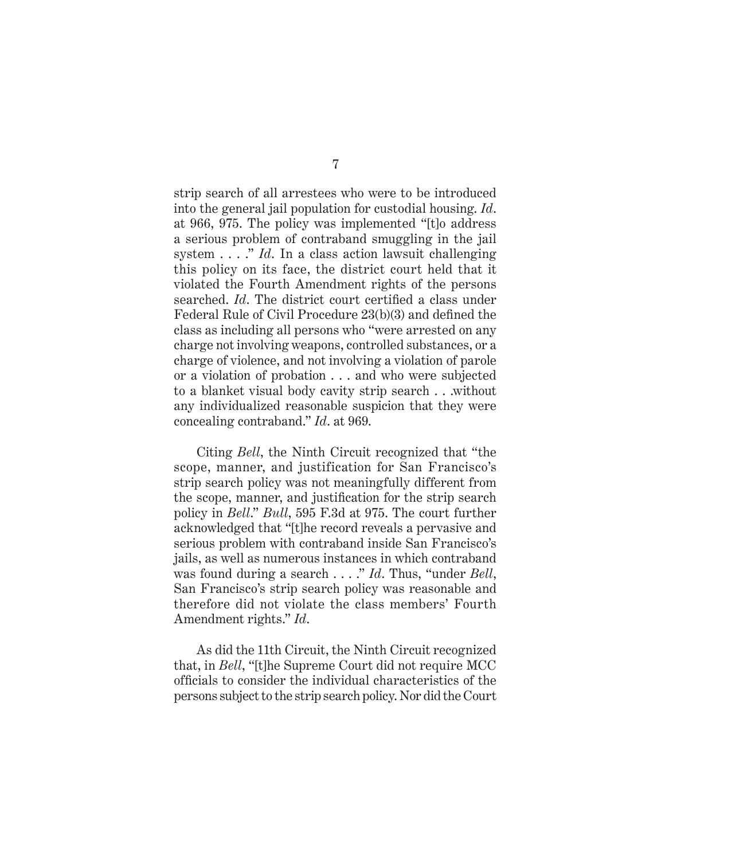strip search of all arrestees who were to be introduced into the general jail population for custodial housing. *Id*. at 966, 975. The policy was implemented "[t]o address a serious problem of contraband smuggling in the jail system . . . ." *Id*. In a class action lawsuit challenging this policy on its face, the district court held that it violated the Fourth Amendment rights of the persons searched. *Id*. The district court certified a class under Federal Rule of Civil Procedure 23(b)(3) and defined the class as including all persons who "were arrested on any charge not involving weapons, controlled substances, or a charge of violence, and not involving a violation of parole or a violation of probation . . . and who were subjected to a blanket visual body cavity strip search . . .without any individualized reasonable suspicion that they were concealing contraband." *Id*. at 969.

Citing *Bell*, the Ninth Circuit recognized that "the scope, manner, and justification for San Francisco's strip search policy was not meaningfully different from the scope, manner, and justification for the strip search policy in *Bell*." *Bull*, 595 F.3d at 975. The court further acknowledged that "[t]he record reveals a pervasive and serious problem with contraband inside San Francisco's jails, as well as numerous instances in which contraband was found during a search . . . ." *Id*. Thus, "under *Bell*, San Francisco's strip search policy was reasonable and therefore did not violate the class members' Fourth Amendment rights." *Id*.

As did the 11th Circuit, the Ninth Circuit recognized that, in *Bell*, "[t]he Supreme Court did not require MCC officials to consider the individual characteristics of the persons subject to the strip search policy. Nor did the Court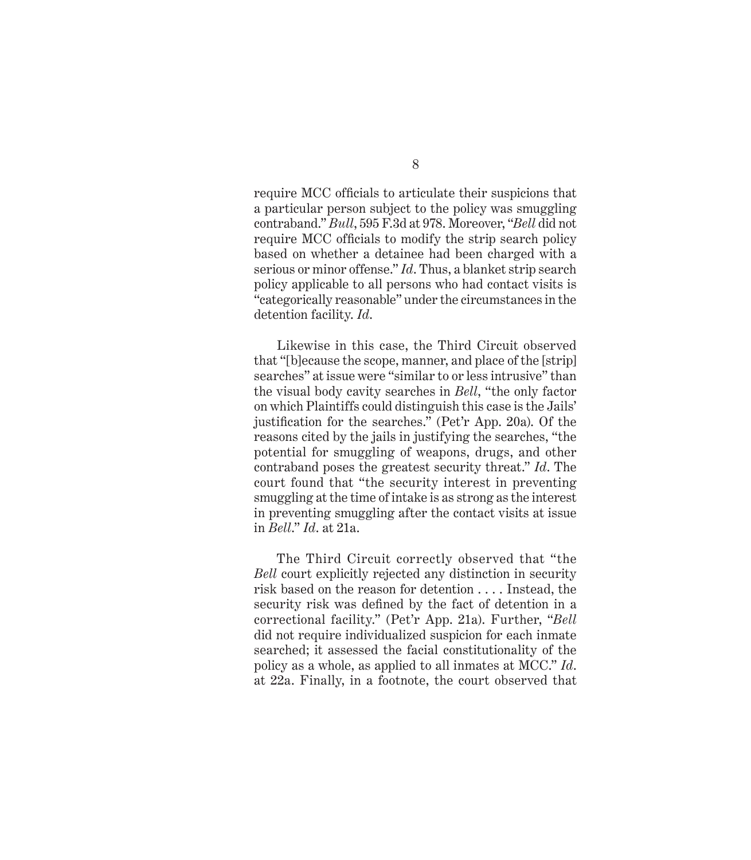require MCC officials to articulate their suspicions that a particular person subject to the policy was smuggling contraband." *Bull*, 595 F.3d at 978. Moreover, "*Bell* did not require MCC officials to modify the strip search policy based on whether a detainee had been charged with a serious or minor offense." *Id*. Thus, a blanket strip search policy applicable to all persons who had contact visits is "categorically reasonable" under the circumstances in the detention facility. *Id*.

Likewise in this case, the Third Circuit observed that "[b]ecause the scope, manner, and place of the [strip] searches" at issue were "similar to or less intrusive" than the visual body cavity searches in *Bell*, "the only factor on which Plaintiffs could distinguish this case is the Jails' justification for the searches." (Pet'r App. 20a). Of the reasons cited by the jails in justifying the searches, "the potential for smuggling of weapons, drugs, and other contraband poses the greatest security threat." *Id*. The court found that "the security interest in preventing smuggling at the time of intake is as strong as the interest in preventing smuggling after the contact visits at issue in *Bell*." *Id*. at 21a.

The Third Circuit correctly observed that "the *Bell* court explicitly rejected any distinction in security risk based on the reason for detention . . . . Instead, the security risk was defined by the fact of detention in a correctional facility." (Pet'r App. 21a). Further, "*Bell* did not require individualized suspicion for each inmate searched; it assessed the facial constitutionality of the policy as a whole, as applied to all inmates at MCC." *Id*. at 22a. Finally, in a footnote, the court observed that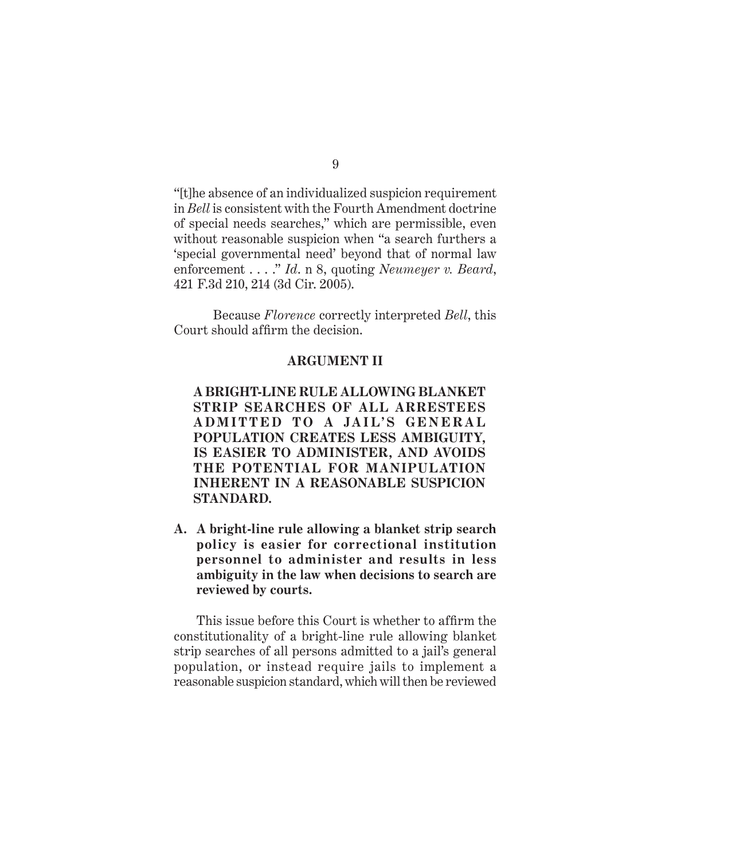"[t]he absence of an individualized suspicion requirement in *Bell* is consistent with the Fourth Amendment doctrine of special needs searches," which are permissible, even without reasonable suspicion when "a search furthers a 'special governmental need' beyond that of normal law enforcement . . . ." *Id*. n 8, quoting *Neumeyer v. Beard*, 421 F.3d 210, 214 (3d Cir. 2005).

 Because *Florence* correctly interpreted *Bell*, this Court should affirm the decision.

### **ARGUMENT II**

**A BRIGHT-LINE RULE ALLOWING BLANKET STRIP SEARCHES OF ALL ARRESTEES**  ADMITTED TO A JAIL'S GENERAL **POPULATION CREATES LESS AMBIGUITY, IS EASIER TO ADMINISTER, AND AVOIDS THE POTENTIAL FOR MANIPULATION INHERENT IN A REASONABLE SUSPICION STANDARD.**

**A. A bright-line rule allowing a blanket strip search policy is easier for correctional institution personnel to administer and results in less ambiguity in the law when decisions to search are reviewed by courts.**

This issue before this Court is whether to affirm the constitutionality of a bright-line rule allowing blanket strip searches of all persons admitted to a jail's general population, or instead require jails to implement a reasonable suspicion standard, which will then be reviewed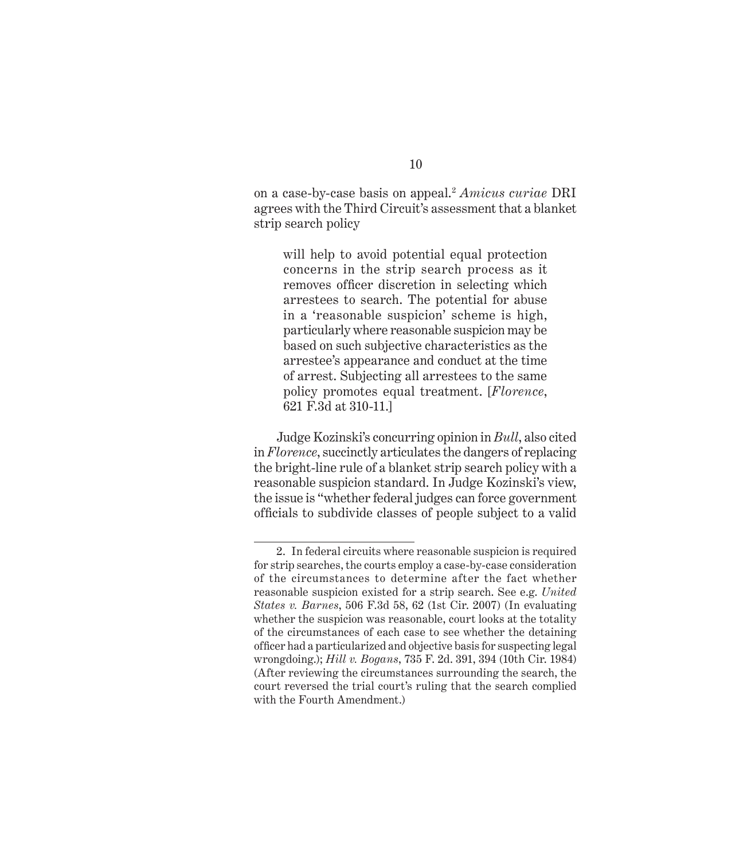on a case-by-case basis on appeal.2 *Amicus curiae* DRI agrees with the Third Circuit's assessment that a blanket strip search policy

will help to avoid potential equal protection concerns in the strip search process as it removes officer discretion in selecting which arrestees to search. The potential for abuse in a 'reasonable suspicion' scheme is high, particularly where reasonable suspicion may be based on such subjective characteristics as the arrestee's appearance and conduct at the time of arrest. Subjecting all arrestees to the same policy promotes equal treatment. [*Florence*, 621 F.3d at 310-11.]

Judge Kozinski's concurring opinion in *Bull*, also cited in *Florence*, succinctly articulates the dangers of replacing the bright-line rule of a blanket strip search policy with a reasonable suspicion standard. In Judge Kozinski's view, the issue is "whether federal judges can force government officials to subdivide classes of people subject to a valid

<sup>2.</sup> In federal circuits where reasonable suspicion is required for strip searches, the courts employ a case-by-case consideration of the circumstances to determine after the fact whether reasonable suspicion existed for a strip search. See e.g. *United States v. Barnes*, 506 F.3d 58, 62 (1st Cir. 2007) (In evaluating whether the suspicion was reasonable, court looks at the totality of the circumstances of each case to see whether the detaining officer had a particularized and objective basis for suspecting legal wrongdoing.); *Hill v. Bogans*, 735 F. 2d. 391, 394 (10th Cir. 1984) (After reviewing the circumstances surrounding the search, the court reversed the trial court's ruling that the search complied with the Fourth Amendment.)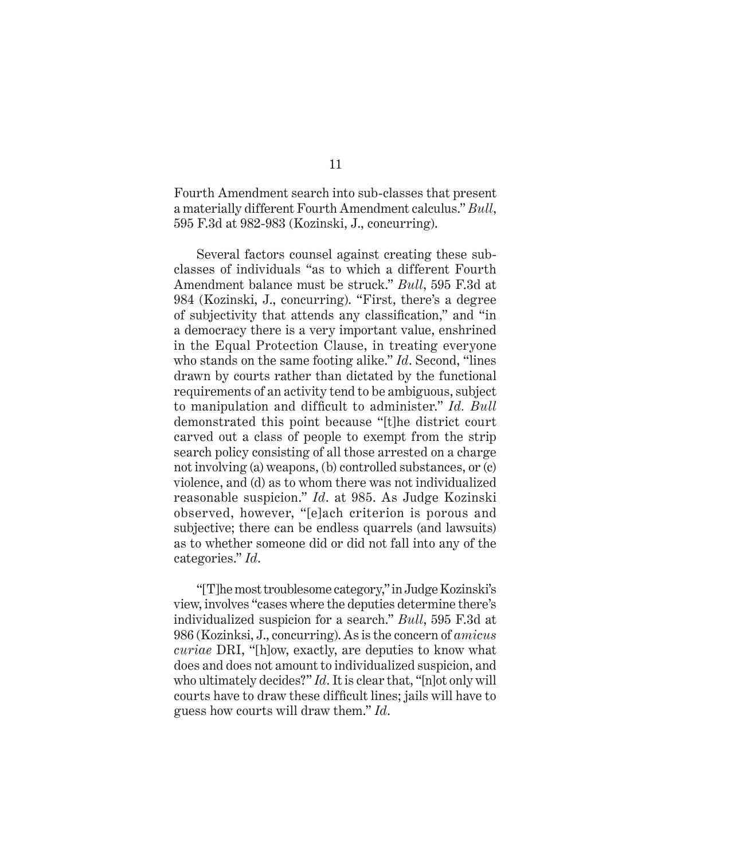Fourth Amendment search into sub-classes that present a materially different Fourth Amendment calculus." *Bull*, 595 F.3d at 982-983 (Kozinski, J., concurring).

Several factors counsel against creating these subclasses of individuals "as to which a different Fourth Amendment balance must be struck." *Bull*, 595 F.3d at 984 (Kozinski, J., concurring). "First, there's a degree of subjectivity that attends any classification," and "in a democracy there is a very important value, enshrined in the Equal Protection Clause, in treating everyone who stands on the same footing alike." *Id*. Second, "lines drawn by courts rather than dictated by the functional requirements of an activity tend to be ambiguous, subject to manipulation and difficult to administer." *Id. Bull* demonstrated this point because "[t]he district court carved out a class of people to exempt from the strip search policy consisting of all those arrested on a charge not involving (a) weapons, (b) controlled substances, or (c) violence, and (d) as to whom there was not individualized reasonable suspicion." *Id*. at 985. As Judge Kozinski observed, however, "[e]ach criterion is porous and subjective; there can be endless quarrels (and lawsuits) as to whether someone did or did not fall into any of the categories." *Id*.

"[T]he most troublesome category," in Judge Kozinski's view, involves "cases where the deputies determine there's individualized suspicion for a search." *Bull*, 595 F.3d at 986 (Kozinksi, J., concurring). As is the concern of *amicus curiae* DRI, "[h]ow, exactly, are deputies to know what does and does not amount to individualized suspicion, and who ultimately decides?" *Id*. It is clear that, "[n]ot only will courts have to draw these difficult lines; jails will have to guess how courts will draw them." *Id*.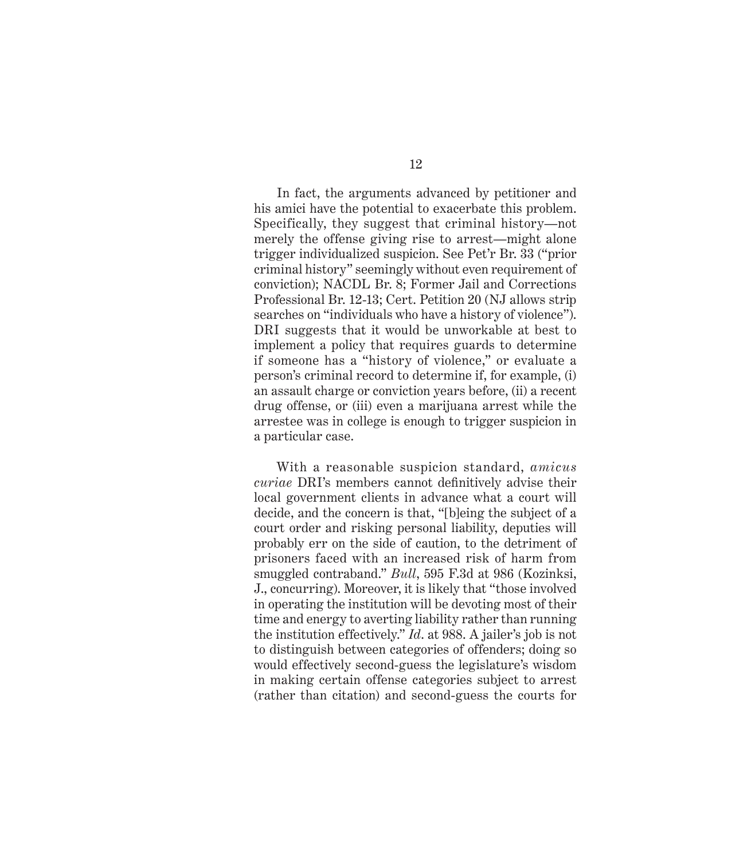In fact, the arguments advanced by petitioner and his amici have the potential to exacerbate this problem. Specifically, they suggest that criminal history—not merely the offense giving rise to arrest—might alone trigger individualized suspicion. See Pet'r Br. 33 ("prior criminal history" seemingly without even requirement of conviction); NACDL Br. 8; Former Jail and Corrections Professional Br. 12-13; Cert. Petition 20 (NJ allows strip searches on "individuals who have a history of violence"). DRI suggests that it would be unworkable at best to implement a policy that requires guards to determine if someone has a "history of violence," or evaluate a person's criminal record to determine if, for example, (i) an assault charge or conviction years before, (ii) a recent drug offense, or (iii) even a marijuana arrest while the arrestee was in college is enough to trigger suspicion in a particular case.

With a reasonable suspicion standard, *amicus curiae* DRI's members cannot definitively advise their local government clients in advance what a court will decide, and the concern is that, "[b]eing the subject of a court order and risking personal liability, deputies will probably err on the side of caution, to the detriment of prisoners faced with an increased risk of harm from smuggled contraband." *Bull*, 595 F.3d at 986 (Kozinksi, J., concurring). Moreover, it is likely that "those involved in operating the institution will be devoting most of their time and energy to averting liability rather than running the institution effectively." *Id*. at 988. A jailer's job is not to distinguish between categories of offenders; doing so would effectively second-guess the legislature's wisdom in making certain offense categories subject to arrest (rather than citation) and second-guess the courts for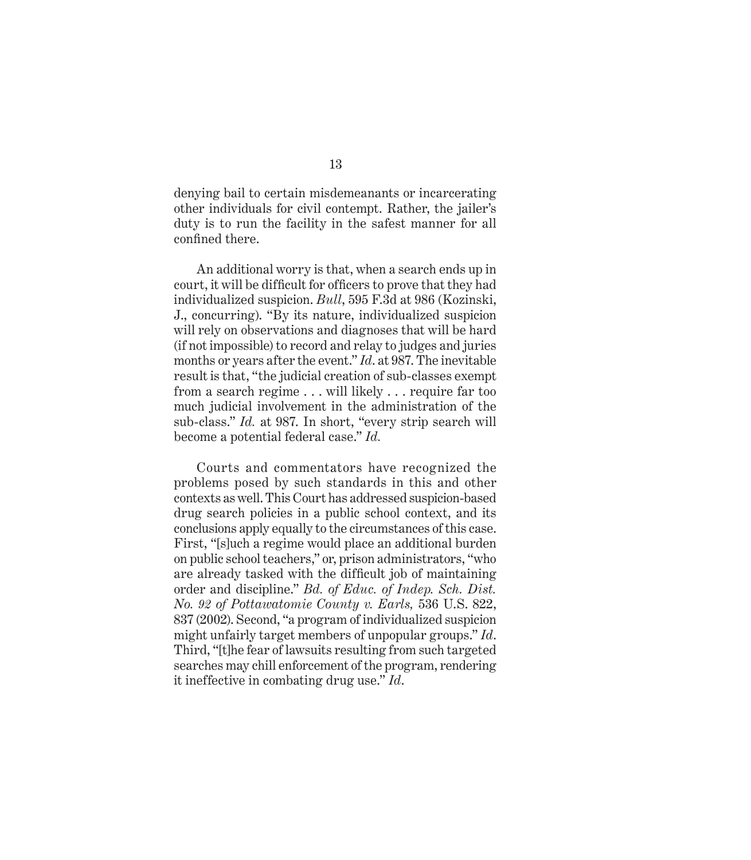denying bail to certain misdemeanants or incarcerating other individuals for civil contempt. Rather, the jailer's duty is to run the facility in the safest manner for all confined there.

An additional worry is that, when a search ends up in court, it will be difficult for officers to prove that they had individualized suspicion. *Bull*, 595 F.3d at 986 (Kozinski, J., concurring). "By its nature, individualized suspicion will rely on observations and diagnoses that will be hard (if not impossible) to record and relay to judges and juries months or years after the event." *Id*. at 987. The inevitable result is that, "the judicial creation of sub-classes exempt from a search regime . . . will likely . . . require far too much judicial involvement in the administration of the sub-class." *Id.* at 987. In short, "every strip search will become a potential federal case." *Id.*

Courts and commentators have recognized the problems posed by such standards in this and other contexts as well. This Court has addressed suspicion-based drug search policies in a public school context, and its conclusions apply equally to the circumstances of this case. First, "[s]uch a regime would place an additional burden on public school teachers," or, prison administrators, "who are already tasked with the difficult job of maintaining order and discipline." *Bd. of Educ. of Indep. Sch. Dist. No. 92 of Pottawatomie County v. Earls,* 536 U.S. 822, 837 (2002). Second, "a program of individualized suspicion might unfairly target members of unpopular groups." *Id*. Third, "[t]he fear of lawsuits resulting from such targeted searches may chill enforcement of the program, rendering it ineffective in combating drug use." *Id*.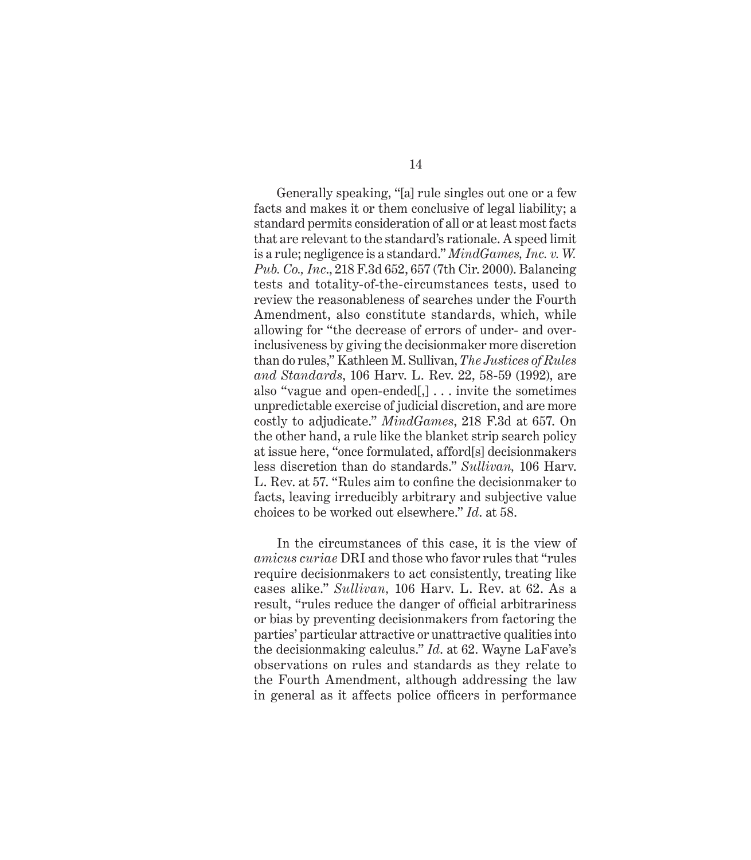Generally speaking, "[a] rule singles out one or a few facts and makes it or them conclusive of legal liability; a standard permits consideration of all or at least most facts that are relevant to the standard's rationale. A speed limit is a rule; negligence is a standard." *MindGames, Inc. v. W. Pub. Co., Inc*., 218 F.3d 652, 657 (7th Cir. 2000). Balancing tests and totality-of-the-circumstances tests, used to review the reasonableness of searches under the Fourth Amendment, also constitute standards, which, while allowing for "the decrease of errors of under- and overinclusiveness by giving the decisionmaker more discretion than do rules," Kathleen M. Sullivan, *The Justices of Rules and Standards*, 106 Harv. L. Rev. 22, 58-59 (1992), are also "vague and open-ended[,] . . . invite the sometimes unpredictable exercise of judicial discretion, and are more costly to adjudicate." *MindGames*, 218 F.3d at 657. On the other hand, a rule like the blanket strip search policy at issue here, "once formulated, afford[s] decisionmakers less discretion than do standards." *Sullivan,* 106 Harv. L. Rev. at 57. "Rules aim to confine the decisionmaker to facts, leaving irreducibly arbitrary and subjective value choices to be worked out elsewhere." *Id*. at 58.

In the circumstances of this case, it is the view of *amicus curiae* DRI and those who favor rules that "rules require decisionmakers to act consistently, treating like cases alike." *Sullivan,* 106 Harv. L. Rev. at 62. As a result, "rules reduce the danger of official arbitrariness" or bias by preventing decisionmakers from factoring the parties' particular attractive or unattractive qualities into the decisionmaking calculus." *Id*. at 62. Wayne LaFave's observations on rules and standards as they relate to the Fourth Amendment, although addressing the law in general as it affects police officers in performance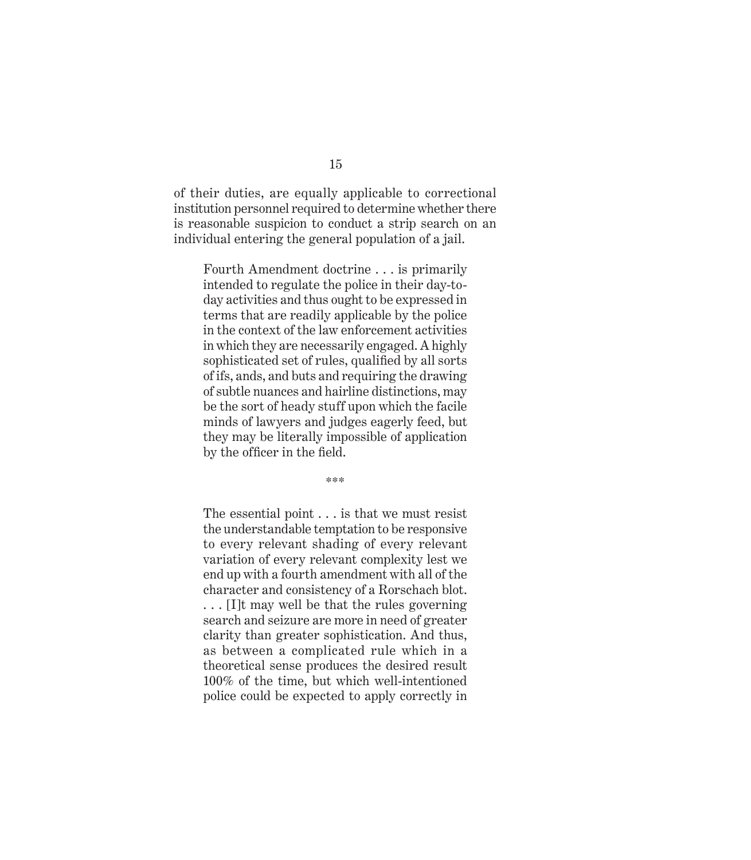of their duties, are equally applicable to correctional institution personnel required to determine whether there is reasonable suspicion to conduct a strip search on an individual entering the general population of a jail.

Fourth Amendment doctrine . . . is primarily intended to regulate the police in their day-today activities and thus ought to be expressed in terms that are readily applicable by the police in the context of the law enforcement activities in which they are necessarily engaged. A highly sophisticated set of rules, qualified by all sorts of ifs, ands, and buts and requiring the drawing of subtle nuances and hairline distinctions, may be the sort of heady stuff upon which the facile minds of lawyers and judges eagerly feed, but they may be literally impossible of application by the officer in the field.

\*\*\*

The essential point . . . is that we must resist the understandable temptation to be responsive to every relevant shading of every relevant variation of every relevant complexity lest we end up with a fourth amendment with all of the character and consistency of a Rorschach blot. . . . [I]t may well be that the rules governing search and seizure are more in need of greater clarity than greater sophistication. And thus, as between a complicated rule which in a theoretical sense produces the desired result 100% of the time, but which well-intentioned police could be expected to apply correctly in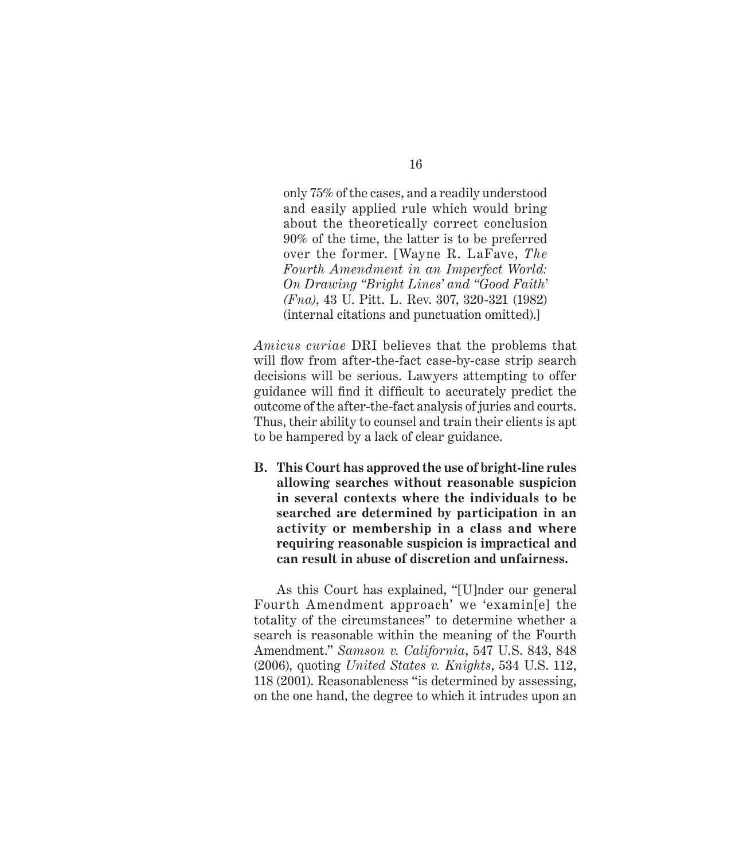only 75% of the cases, and a readily understood and easily applied rule which would bring about the theoretically correct conclusion 90% of the time, the latter is to be preferred over the former. [Wayne R. LaFave, *The Fourth Amendment in an Imperfect World: On Drawing "Bright Lines' and "Good Faith' (Fna)*, 43 U. Pitt. L. Rev. 307, 320-321 (1982) (internal citations and punctuation omitted).]

*Amicus curiae* DRI believes that the problems that will flow from after-the-fact case-by-case strip search decisions will be serious. Lawyers attempting to offer guidance will find it difficult to accurately predict the outcome of the after-the-fact analysis of juries and courts. Thus, their ability to counsel and train their clients is apt to be hampered by a lack of clear guidance.

**B. This Court has approved the use of bright-line rules allowing searches without reasonable suspicion in several contexts where the individuals to be searched are determined by participation in an activity or membership in a class and where requiring reasonable suspicion is impractical and can result in abuse of discretion and unfairness.**

As this Court has explained, "[U]nder our general Fourth Amendment approach' we 'examin[e] the totality of the circumstances" to determine whether a search is reasonable within the meaning of the Fourth Amendment." *Samson v. California*, 547 U.S. 843, 848 (2006), quoting *United States v. Knights*, 534 U.S. 112, 118 (2001). Reasonableness "is determined by assessing, on the one hand, the degree to which it intrudes upon an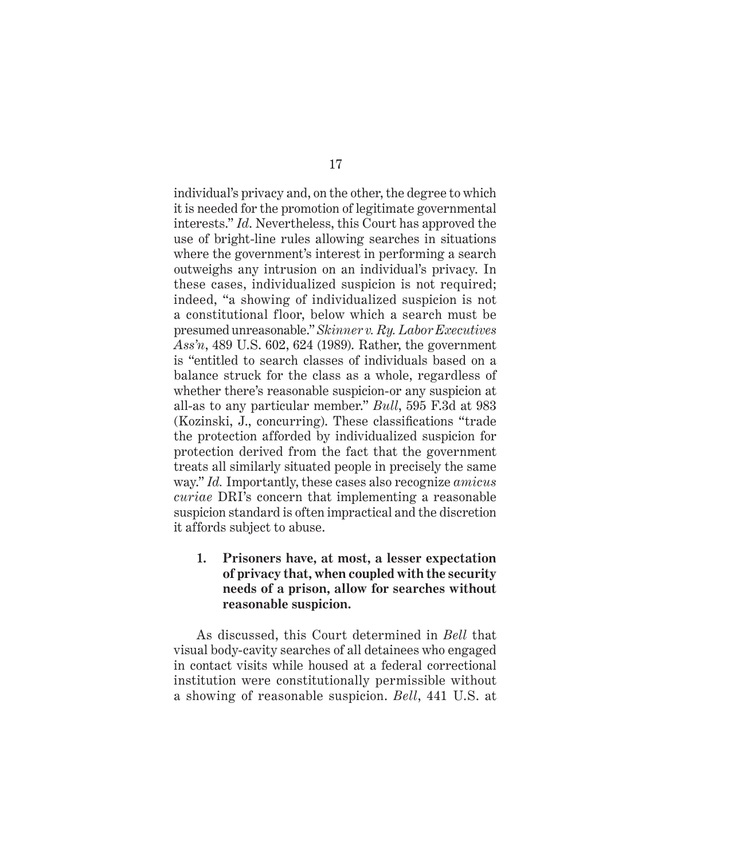individual's privacy and, on the other, the degree to which it is needed for the promotion of legitimate governmental interests." *Id*. Nevertheless, this Court has approved the use of bright-line rules allowing searches in situations where the government's interest in performing a search outweighs any intrusion on an individual's privacy. In these cases, individualized suspicion is not required; indeed, "a showing of individualized suspicion is not a constitutional floor, below which a search must be presumed unreasonable." *Skinner v. Ry. Labor Executives Ass'n*, 489 U.S. 602, 624 (1989). Rather, the government is "entitled to search classes of individuals based on a balance struck for the class as a whole, regardless of whether there's reasonable suspicion-or any suspicion at all-as to any particular member." *Bull*, 595 F.3d at 983 (Kozinski, J., concurring). These classifications "trade" the protection afforded by individualized suspicion for protection derived from the fact that the government treats all similarly situated people in precisely the same way." *Id.* Importantly, these cases also recognize *amicus curiae* DRI's concern that implementing a reasonable suspicion standard is often impractical and the discretion it affords subject to abuse.

### **1. Prisoners have, at most, a lesser expectation of privacy that, when coupled with the security needs of a prison, allow for searches without reasonable suspicion.**

As discussed, this Court determined in *Bell* that visual body-cavity searches of all detainees who engaged in contact visits while housed at a federal correctional institution were constitutionally permissible without a showing of reasonable suspicion. *Bell*, 441 U.S. at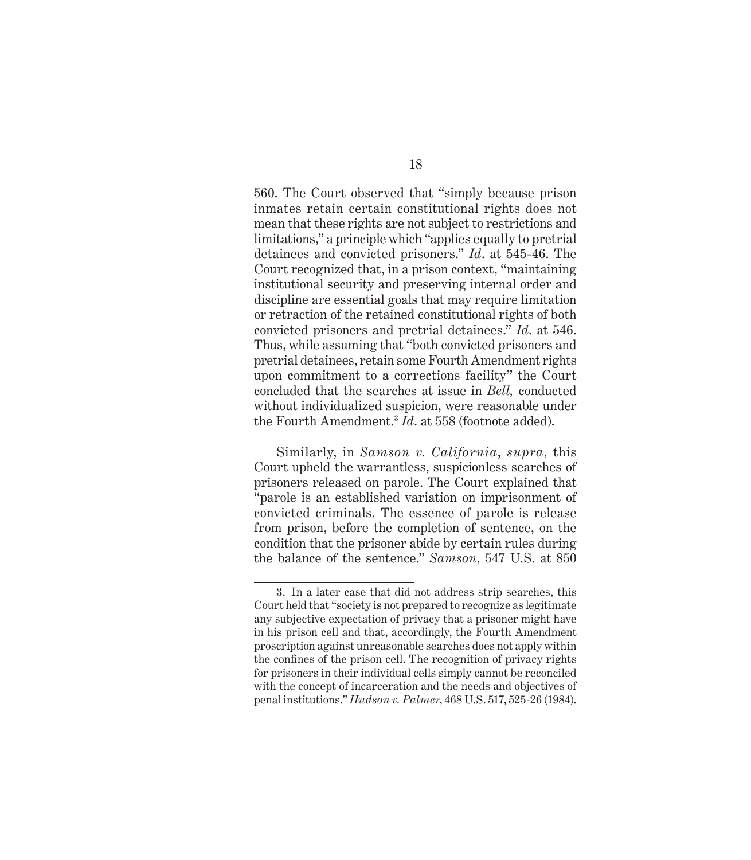560. The Court observed that "simply because prison inmates retain certain constitutional rights does not mean that these rights are not subject to restrictions and limitations," a principle which "applies equally to pretrial detainees and convicted prisoners." *Id*. at 545-46. The Court recognized that, in a prison context, "maintaining institutional security and preserving internal order and discipline are essential goals that may require limitation or retraction of the retained constitutional rights of both convicted prisoners and pretrial detainees." *Id*. at 546. Thus, while assuming that "both convicted prisoners and pretrial detainees, retain some Fourth Amendment rights upon commitment to a corrections facility" the Court concluded that the searches at issue in *Bell,* conducted without individualized suspicion, were reasonable under the Fourth Amendment.3 *Id*. at 558 (footnote added).

Similarly, in *Samson v. California*, *supra*, this Court upheld the warrantless, suspicionless searches of prisoners released on parole. The Court explained that "parole is an established variation on imprisonment of convicted criminals. The essence of parole is release from prison, before the completion of sentence, on the condition that the prisoner abide by certain rules during the balance of the sentence." *Samson*, 547 U.S. at 850

<sup>3.</sup> In a later case that did not address strip searches, this Court held that "society is not prepared to recognize as legitimate any subjective expectation of privacy that a prisoner might have in his prison cell and that, accordingly, the Fourth Amendment proscription against unreasonable searches does not apply within the confines of the prison cell. The recognition of privacy rights for prisoners in their individual cells simply cannot be reconciled with the concept of incarceration and the needs and objectives of penal institutions." *Hudson v. Palmer*, 468 U.S. 517, 525-26 (1984).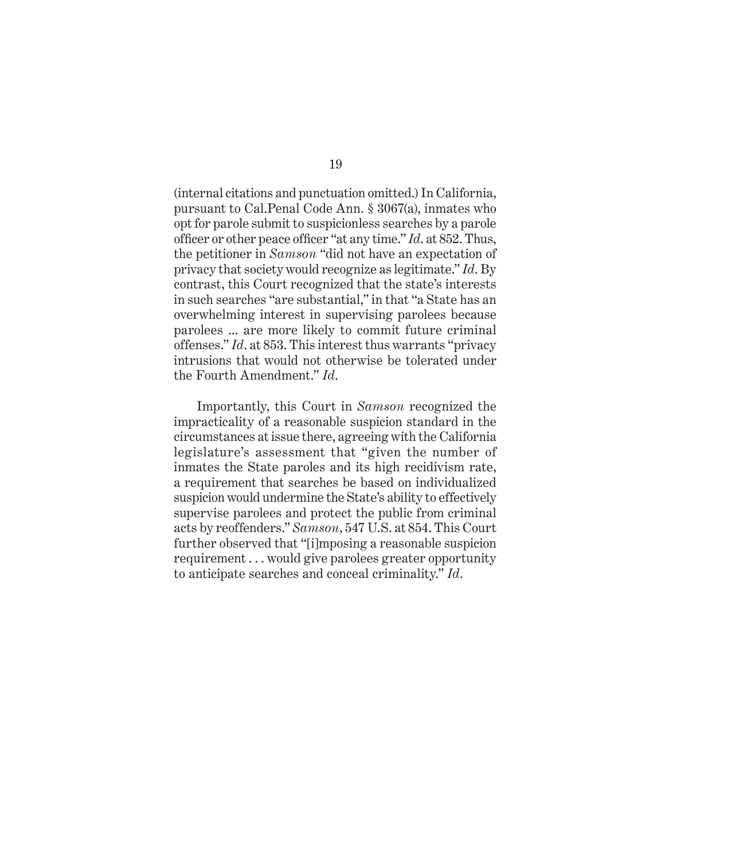(internal citations and punctuation omitted.) In California, pursuant to Cal.Penal Code Ann. § 3067(a), inmates who opt for parole submit to suspicionless searches by a parole officer or other peace officer "at any time." *Id.* at 852. Thus, the petitioner in *Samson* "did not have an expectation of privacy that society would recognize as legitimate." *Id*. By contrast, this Court recognized that the state's interests in such searches "are substantial," in that "a State has an overwhelming interest in supervising parolees because parolees ... are more likely to commit future criminal offenses." *Id*. at 853. This interest thus warrants "privacy intrusions that would not otherwise be tolerated under the Fourth Amendment." *Id*.

Importantly, this Court in *Samson* recognized the impracticality of a reasonable suspicion standard in the circumstances at issue there, agreeing with the California legislature's assessment that "given the number of inmates the State paroles and its high recidivism rate, a requirement that searches be based on individualized suspicion would undermine the State's ability to effectively supervise parolees and protect the public from criminal acts by reoffenders." *Samson*, 547 U.S. at 854. This Court further observed that "[i]mposing a reasonable suspicion requirement . . . would give parolees greater opportunity to anticipate searches and conceal criminality." *Id*.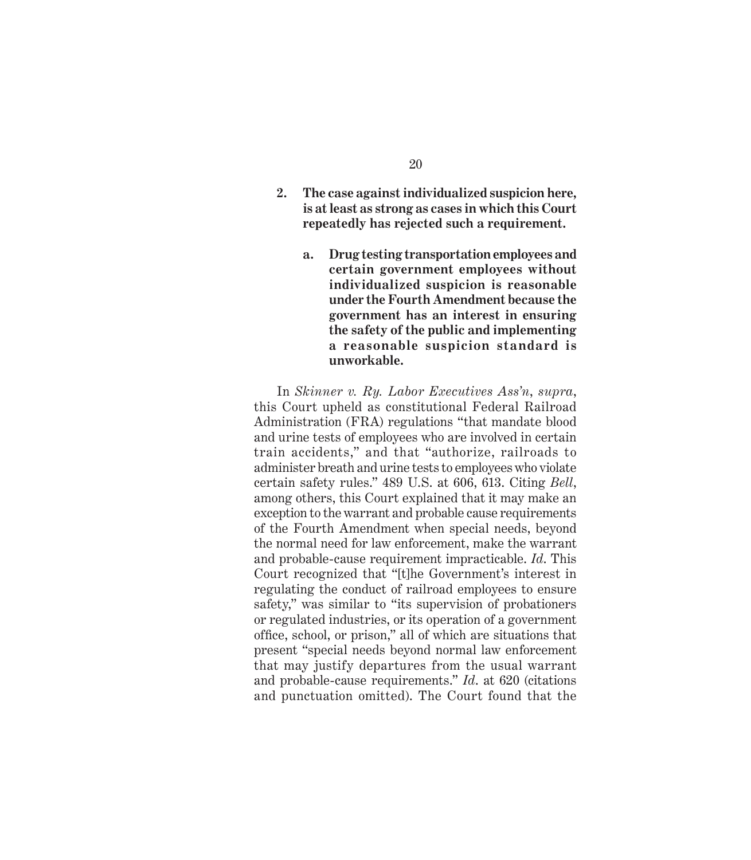- **2. The case against individualized suspicion here, is at least as strong as cases in which this Court repeatedly has rejected such a requirement.**
	- **a. Drug testing transportation employees and certain government employees without individualized suspicion is reasonable under the Fourth Amendment because the government has an interest in ensuring the safety of the public and implementing a reasonable suspicion standard is unworkable.**

In *Skinner v. Ry. Labor Executives Ass'n*, *supra*, this Court upheld as constitutional Federal Railroad Administration (FRA) regulations "that mandate blood and urine tests of employees who are involved in certain train accidents," and that "authorize, railroads to administer breath and urine tests to employees who violate certain safety rules." 489 U.S. at 606, 613. Citing *Bell*, among others, this Court explained that it may make an exception to the warrant and probable cause requirements of the Fourth Amendment when special needs, beyond the normal need for law enforcement, make the warrant and probable-cause requirement impracticable. *Id*. This Court recognized that "[t]he Government's interest in regulating the conduct of railroad employees to ensure safety," was similar to "its supervision of probationers or regulated industries, or its operation of a government office, school, or prison," all of which are situations that present "special needs beyond normal law enforcement that may justify departures from the usual warrant and probable-cause requirements." *Id*. at 620 (citations and punctuation omitted). The Court found that the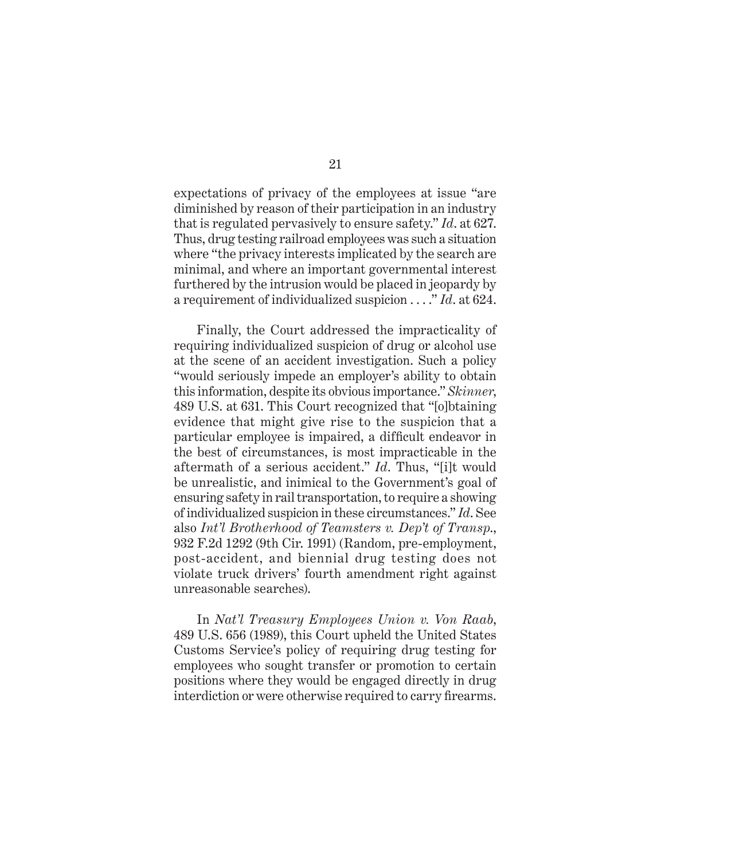expectations of privacy of the employees at issue "are diminished by reason of their participation in an industry that is regulated pervasively to ensure safety." *Id*. at 627. Thus, drug testing railroad employees was such a situation where "the privacy interests implicated by the search are minimal, and where an important governmental interest furthered by the intrusion would be placed in jeopardy by a requirement of individualized suspicion . . . ." *Id*. at 624.

Finally, the Court addressed the impracticality of requiring individualized suspicion of drug or alcohol use at the scene of an accident investigation. Such a policy "would seriously impede an employer's ability to obtain this information, despite its obvious importance." *Skinner*, 489 U.S. at 631. This Court recognized that "[o]btaining evidence that might give rise to the suspicion that a particular employee is impaired, a difficult endeavor in the best of circumstances, is most impracticable in the aftermath of a serious accident." *Id*. Thus, "[i]t would be unrealistic, and inimical to the Government's goal of ensuring safety in rail transportation, to require a showing of individualized suspicion in these circumstances." *Id*. See also *Int'l Brotherhood of Teamsters v. Dep't of Transp*., 932 F.2d 1292 (9th Cir. 1991) (Random, pre-employment, post-accident, and biennial drug testing does not violate truck drivers' fourth amendment right against unreasonable searches).

In *Nat'l Treasury Employees Union v. Von Raab*, 489 U.S. 656 (1989), this Court upheld the United States Customs Service's policy of requiring drug testing for employees who sought transfer or promotion to certain positions where they would be engaged directly in drug interdiction or were otherwise required to carry firearms.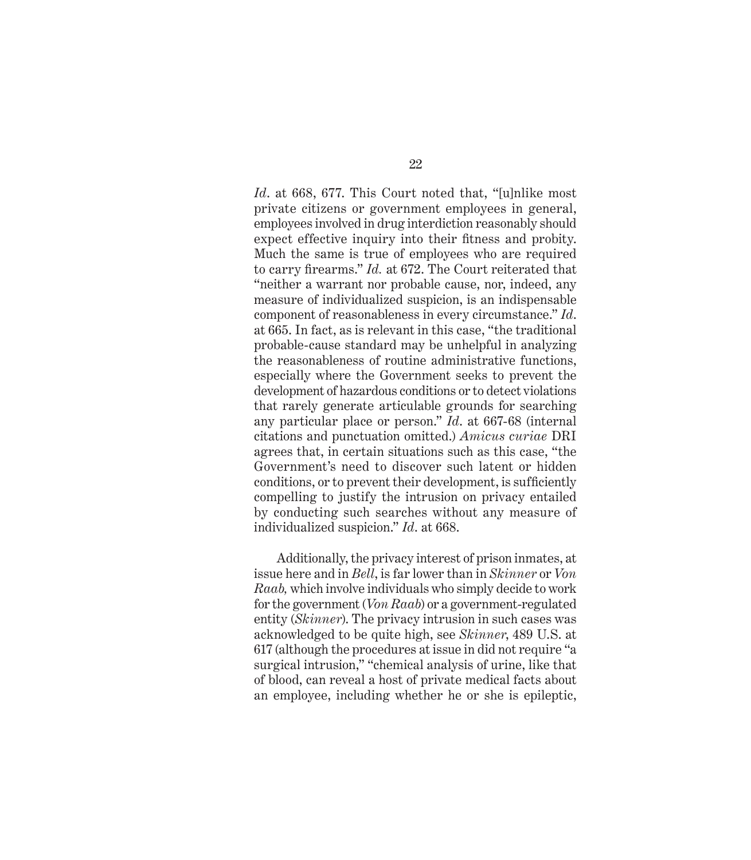*Id*. at 668, 677. This Court noted that, "[u]nlike most private citizens or government employees in general, employees involved in drug interdiction reasonably should expect effective inquiry into their fitness and probity. Much the same is true of employees who are required to carry firearms." *Id.* at 672. The Court reiterated that "neither a warrant nor probable cause, nor, indeed, any measure of individualized suspicion, is an indispensable component of reasonableness in every circumstance." *Id*. at 665. In fact, as is relevant in this case, "the traditional probable-cause standard may be unhelpful in analyzing the reasonableness of routine administrative functions, especially where the Government seeks to prevent the development of hazardous conditions or to detect violations that rarely generate articulable grounds for searching any particular place or person." *Id*. at 667-68 (internal citations and punctuation omitted.) *Amicus curiae* DRI agrees that, in certain situations such as this case, "the Government's need to discover such latent or hidden conditions, or to prevent their development, is sufficiently compelling to justify the intrusion on privacy entailed by conducting such searches without any measure of individualized suspicion." *Id*. at 668.

Additionally, the privacy interest of prison inmates, at issue here and in *Bell*, is far lower than in *Skinner* or *Von Raab,* which involve individuals who simply decide to work for the government (*Von Raab*) or a government-regulated entity (*Skinner*). The privacy intrusion in such cases was acknowledged to be quite high, see *Skinner*, 489 U.S. at 617 (although the procedures at issue in did not require "a surgical intrusion," "chemical analysis of urine, like that of blood, can reveal a host of private medical facts about an employee, including whether he or she is epileptic,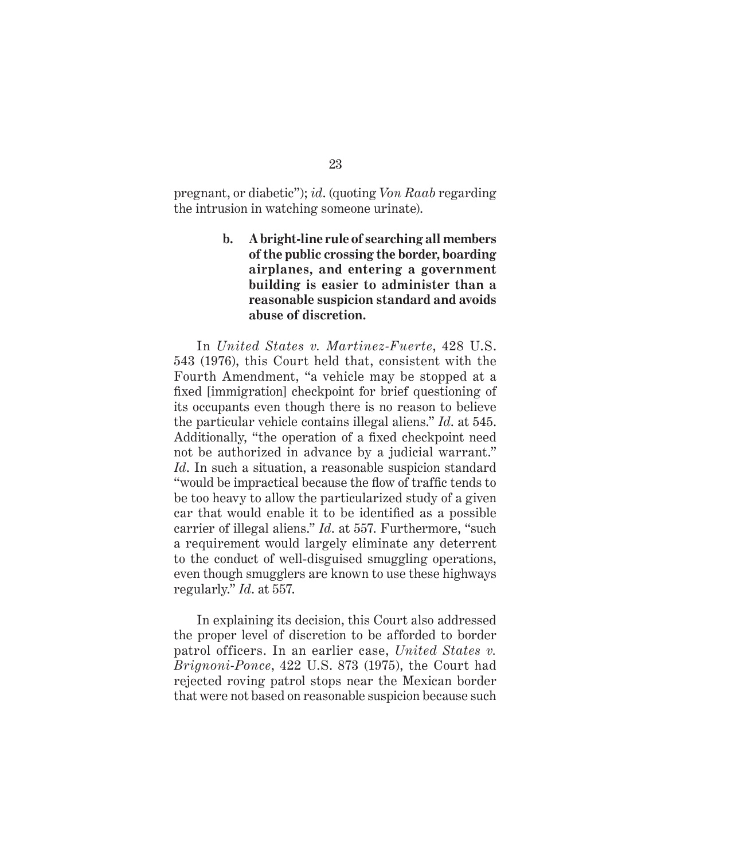pregnant, or diabetic"); *id*. (quoting *Von Raab* regarding the intrusion in watching someone urinate).

> **b. A bright-line rule of searching all members of the public crossing the border, boarding airplanes, and entering a government building is easier to administer than a reasonable suspicion standard and avoids abuse of discretion.**

In *United States v. Martinez-Fuerte*, 428 U.S. 543 (1976), this Court held that, consistent with the Fourth Amendment, "a vehicle may be stopped at a fixed [immigration] checkpoint for brief questioning of its occupants even though there is no reason to believe the particular vehicle contains illegal aliens." *Id*. at 545. Additionally, "the operation of a fixed checkpoint need not be authorized in advance by a judicial warrant." *Id*. In such a situation, a reasonable suspicion standard "would be impractical because the flow of traffic tends to be too heavy to allow the particularized study of a given car that would enable it to be identified as a possible carrier of illegal aliens." *Id*. at 557. Furthermore, "such a requirement would largely eliminate any deterrent to the conduct of well-disguised smuggling operations, even though smugglers are known to use these highways regularly." *Id*. at 557.

In explaining its decision, this Court also addressed the proper level of discretion to be afforded to border patrol officers. In an earlier case, *United States v. Brignoni-Ponce*, 422 U.S. 873 (1975), the Court had rejected roving patrol stops near the Mexican border that were not based on reasonable suspicion because such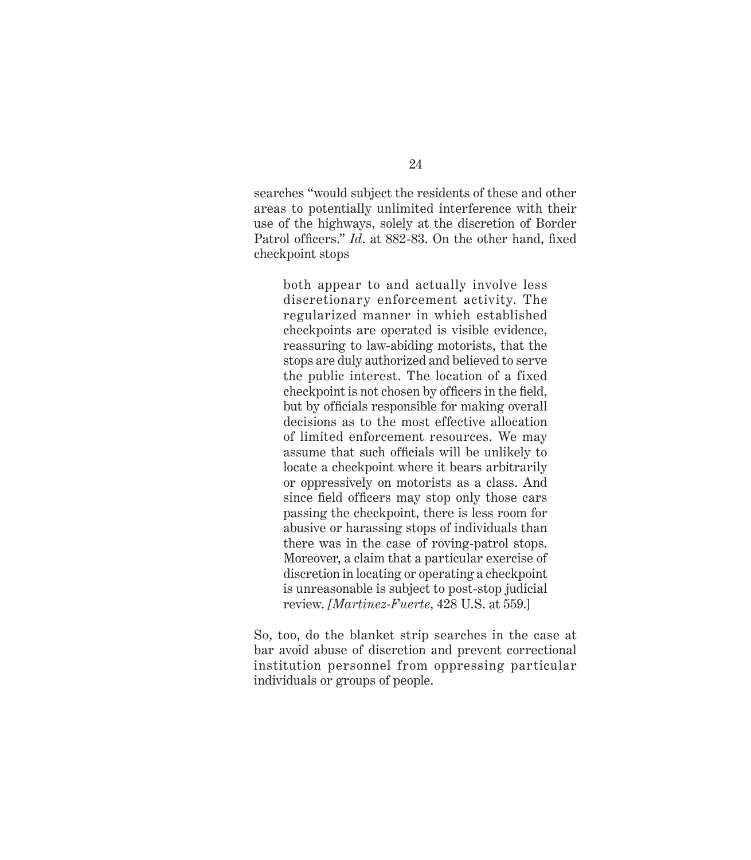searches "would subject the residents of these and other areas to potentially unlimited interference with their use of the highways, solely at the discretion of Border Patrol officers." *Id.* at 882-83. On the other hand, fixed checkpoint stops

both appear to and actually involve less discretionary enforcement activity. The regularized manner in which established checkpoints are operated is visible evidence, reassuring to law-abiding motorists, that the stops are duly authorized and believed to serve the public interest. The location of a fixed checkpoint is not chosen by officers in the field, but by officials responsible for making overall decisions as to the most effective allocation of limited enforcement resources. We may assume that such officials will be unlikely to locate a checkpoint where it bears arbitrarily or oppressively on motorists as a class. And since field officers may stop only those cars passing the checkpoint, there is less room for abusive or harassing stops of individuals than there was in the case of roving-patrol stops. Moreover, a claim that a particular exercise of discretion in locating or operating a checkpoint is unreasonable is subject to post-stop judicial review. *[Martinez-Fuerte*, 428 U.S. at 559.]

So, too, do the blanket strip searches in the case at bar avoid abuse of discretion and prevent correctional institution personnel from oppressing particular individuals or groups of people.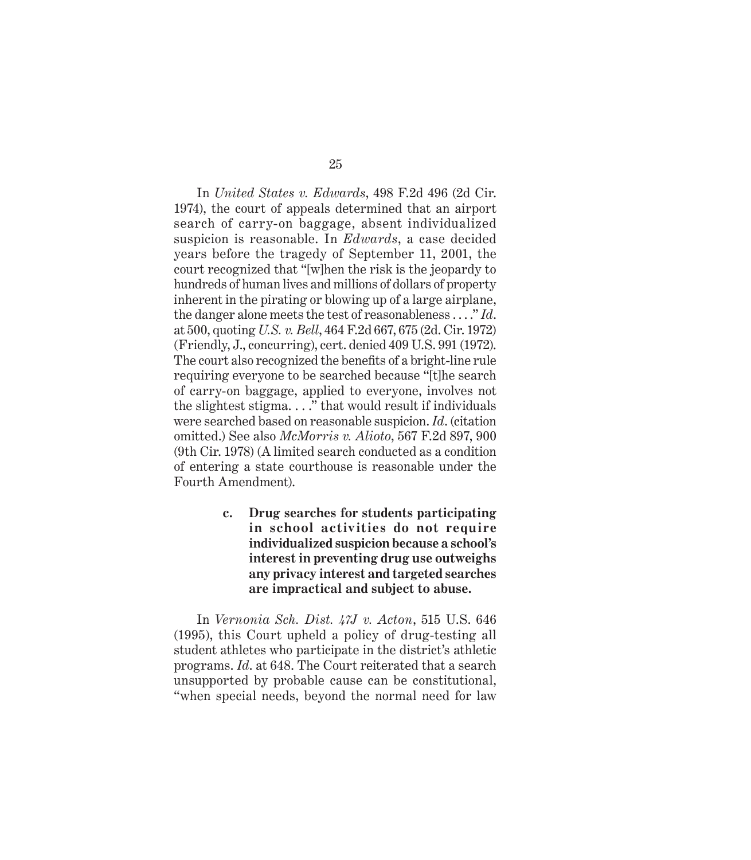In *United States v. Edwards*, 498 F.2d 496 (2d Cir. 1974), the court of appeals determined that an airport search of carry-on baggage, absent individualized suspicion is reasonable. In *Edwards*, a case decided years before the tragedy of September 11, 2001, the court recognized that "[w]hen the risk is the jeopardy to hundreds of human lives and millions of dollars of property inherent in the pirating or blowing up of a large airplane, the danger alone meets the test of reasonableness . . . ." *Id*. at 500, quoting *U.S. v. Bell*, 464 F.2d 667, 675 (2d. Cir. 1972) (Friendly, J., concurring), cert. denied 409 U.S. 991 (1972). The court also recognized the benefits of a bright-line rule requiring everyone to be searched because "[t]he search of carry-on baggage, applied to everyone, involves not the slightest stigma. . . ." that would result if individuals were searched based on reasonable suspicion. *Id*. (citation omitted.) See also *McMorris v. Alioto*, 567 F.2d 897, 900 (9th Cir. 1978) (A limited search conducted as a condition of entering a state courthouse is reasonable under the Fourth Amendment).

> **c. Drug searches for students participating in school activities do not require individualized suspicion because a school's interest in preventing drug use outweighs any privacy interest and targeted searches are impractical and subject to abuse.**

In *Vernonia Sch. Dist. 47J v. Acton*, 515 U.S. 646 (1995), this Court upheld a policy of drug-testing all student athletes who participate in the district's athletic programs. *Id*. at 648. The Court reiterated that a search unsupported by probable cause can be constitutional, "when special needs, beyond the normal need for law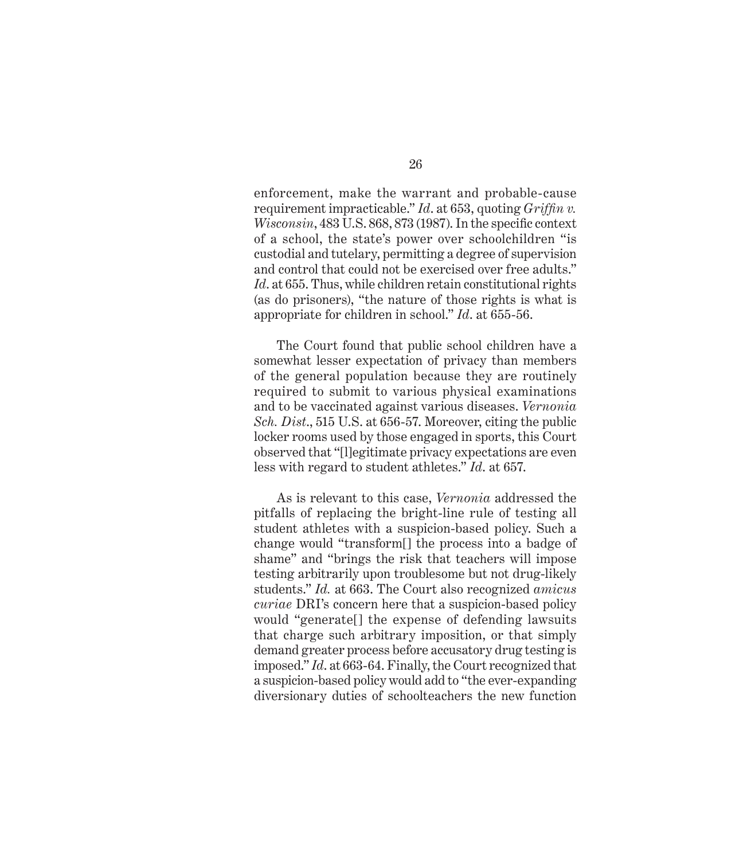enforcement, make the warrant and probable-cause requirement impracticable." *Id*. at 653, quoting *Griffin v*. *Wisconsin*, 483 U.S. 868, 873 (1987). In the specific context of a school, the state's power over schoolchildren "is custodial and tutelary, permitting a degree of supervision and control that could not be exercised over free adults." *Id*. at 655. Thus, while children retain constitutional rights (as do prisoners), "the nature of those rights is what is appropriate for children in school." *Id*. at 655-56.

The Court found that public school children have a somewhat lesser expectation of privacy than members of the general population because they are routinely required to submit to various physical examinations and to be vaccinated against various diseases. *Vernonia Sch. Dist*., 515 U.S. at 656-57. Moreover, citing the public locker rooms used by those engaged in sports, this Court observed that "[l]egitimate privacy expectations are even less with regard to student athletes." *Id*. at 657.

As is relevant to this case, *Vernonia* addressed the pitfalls of replacing the bright-line rule of testing all student athletes with a suspicion-based policy. Such a change would "transform[] the process into a badge of shame" and "brings the risk that teachers will impose testing arbitrarily upon troublesome but not drug-likely students." *Id.* at 663. The Court also recognized *amicus curiae* DRI's concern here that a suspicion-based policy would "generate[] the expense of defending lawsuits that charge such arbitrary imposition, or that simply demand greater process before accusatory drug testing is imposed." *Id*. at 663-64. Finally, the Court recognized that a suspicion-based policy would add to "the ever-expanding diversionary duties of schoolteachers the new function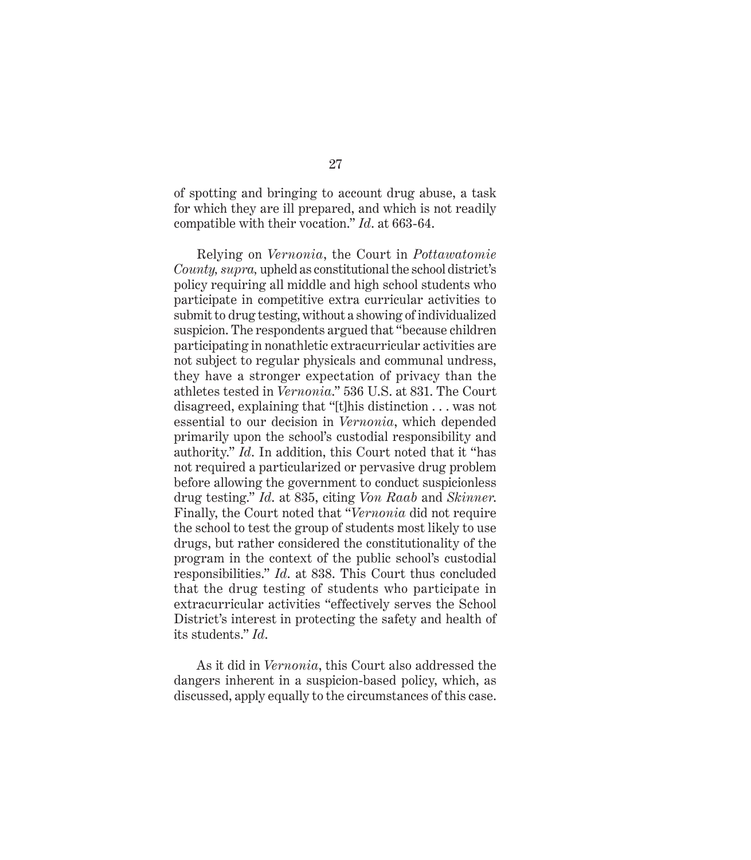of spotting and bringing to account drug abuse, a task for which they are ill prepared, and which is not readily compatible with their vocation." *Id*. at 663-64.

Relying on *Vernonia*, the Court in *Pottawatomie County, supra,* upheld as constitutional the school district's policy requiring all middle and high school students who participate in competitive extra curricular activities to submit to drug testing, without a showing of individualized suspicion. The respondents argued that "because children participating in nonathletic extracurricular activities are not subject to regular physicals and communal undress, they have a stronger expectation of privacy than the athletes tested in *Vernonia*." 536 U.S. at 831. The Court disagreed, explaining that "[t]his distinction . . . was not essential to our decision in *Vernonia*, which depended primarily upon the school's custodial responsibility and authority." *Id*. In addition, this Court noted that it "has not required a particularized or pervasive drug problem before allowing the government to conduct suspicionless drug testing." *Id*. at 835, citing *Von Raab* and *Skinner*. Finally, the Court noted that "*Vernonia* did not require the school to test the group of students most likely to use drugs, but rather considered the constitutionality of the program in the context of the public school's custodial responsibilities." *Id*. at 838. This Court thus concluded that the drug testing of students who participate in extracurricular activities "effectively serves the School District's interest in protecting the safety and health of its students." *Id*.

As it did in *Vernonia*, this Court also addressed the dangers inherent in a suspicion-based policy, which, as discussed, apply equally to the circumstances of this case.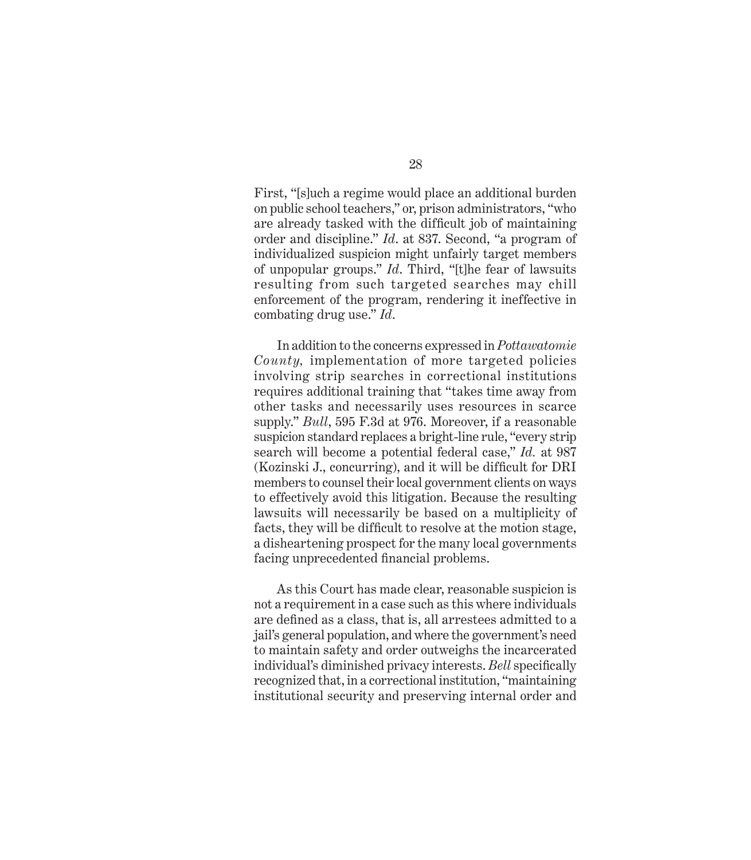First, "[s]uch a regime would place an additional burden on public school teachers," or, prison administrators, "who are already tasked with the difficult job of maintaining order and discipline." *Id*. at 837. Second, "a program of individualized suspicion might unfairly target members of unpopular groups." *Id*. Third, "[t]he fear of lawsuits resulting from such targeted searches may chill enforcement of the program, rendering it ineffective in combating drug use." *Id*.

In addition to the concerns expressed in *Pottawatomie County,* implementation of more targeted policies involving strip searches in correctional institutions requires additional training that "takes time away from other tasks and necessarily uses resources in scarce supply." *Bull*, 595 F.3d at 976. Moreover, if a reasonable suspicion standard replaces a bright-line rule, "every strip search will become a potential federal case," *Id.* at 987 (Kozinski J., concurring), and it will be difficult for DRI members to counsel their local government clients on ways to effectively avoid this litigation. Because the resulting lawsuits will necessarily be based on a multiplicity of facts, they will be difficult to resolve at the motion stage, a disheartening prospect for the many local governments facing unprecedented financial problems.

As this Court has made clear, reasonable suspicion is not a requirement in a case such as this where individuals are defined as a class, that is, all arrestees admitted to a jail's general population, and where the government's need to maintain safety and order outweighs the incarcerated individual's diminished privacy interests. *Bell* specifically recognized that, in a correctional institution, "maintaining institutional security and preserving internal order and